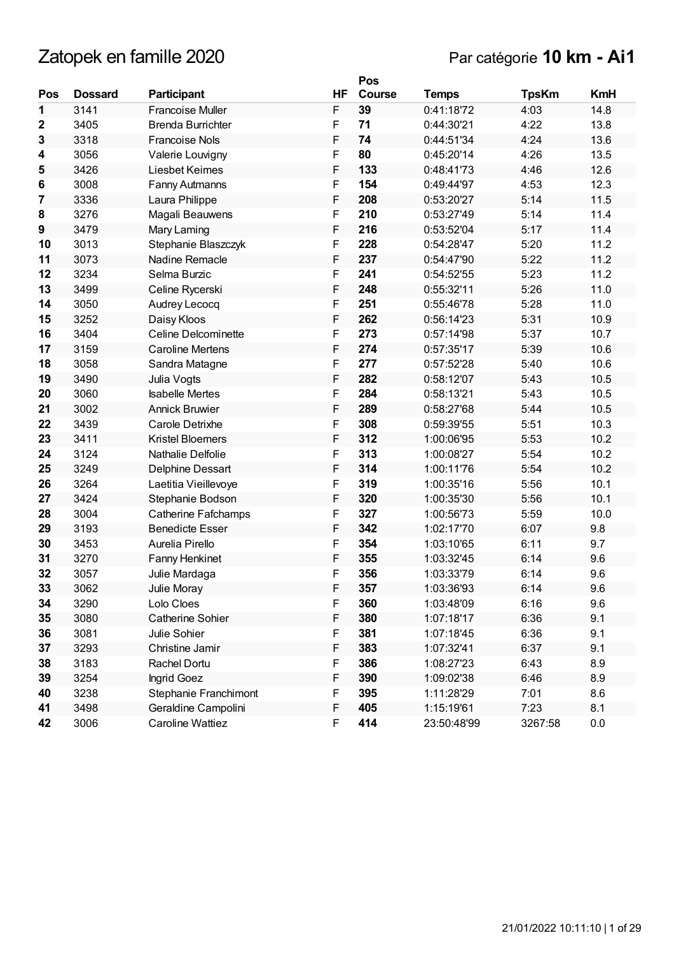|     |                |                            |    | Pos           |              |              |            |
|-----|----------------|----------------------------|----|---------------|--------------|--------------|------------|
| Pos | <b>Dossard</b> | Participant                | HF | <b>Course</b> | <b>Temps</b> | <b>TpsKm</b> | <b>KmH</b> |
| 1   | 3141           | <b>Francoise Muller</b>    | F  | 39            | 0:41:18'72   | 4:03         | 14.8       |
| 2   | 3405           | <b>Brenda Burrichter</b>   | F  | 71            | 0:44:30'21   | 4:22         | 13.8       |
| 3   | 3318           | <b>Francoise Nols</b>      | F  | 74            | 0:44:51'34   | 4:24         | 13.6       |
| 4   | 3056           | Valerie Louvigny           | F  | 80            | 0:45:20'14   | 4:26         | 13.5       |
| 5   | 3426           | Liesbet Keimes             | F  | 133           | 0:48:41'73   | 4:46         | 12.6       |
| 6   | 3008           | Fanny Autmanns             | F  | 154           | 0:49:44'97   | 4:53         | 12.3       |
| 7   | 3336           | Laura Philippe             | F  | 208           | 0:53:20'27   | 5:14         | 11.5       |
| 8   | 3276           | Magali Beauwens            | F  | 210           | 0:53:27'49   | 5:14         | 11.4       |
| 9   | 3479           | Mary Laming                | F  | 216           | 0:53:52'04   | 5:17         | 11.4       |
| 10  | 3013           | Stephanie Blaszczyk        | F  | 228           | 0:54:28'47   | 5:20         | 11.2       |
| 11  | 3073           | Nadine Remacle             | F  | 237           | 0:54:47'90   | 5:22         | 11.2       |
| 12  | 3234           | Selma Burzic               | F  | 241           | 0:54:52'55   | 5:23         | 11.2       |
| 13  | 3499           | Celine Rycerski            | F  | 248           | 0:55:32'11   | 5:26         | 11.0       |
| 14  | 3050           | Audrey Lecocq              | F  | 251           | 0:55:46'78   | 5:28         | 11.0       |
| 15  | 3252           | Daisy Kloos                | F  | 262           | 0:56:14'23   | 5:31         | 10.9       |
| 16  | 3404           | Celine Delcominette        | F  | 273           | 0:57:14'98   | 5:37         | 10.7       |
| 17  | 3159           | <b>Caroline Mertens</b>    | F  | 274           | 0:57:35'17   | 5:39         | 10.6       |
| 18  | 3058           | Sandra Matagne             | F  | 277           | 0:57:52'28   | 5:40         | 10.6       |
| 19  | 3490           | Julia Vogts                | F  | 282           | 0:58:12'07   | 5:43         | 10.5       |
| 20  | 3060           | <b>Isabelle Mertes</b>     | F  | 284           | 0:58:13'21   | 5:43         | 10.5       |
| 21  | 3002           | <b>Annick Bruwier</b>      | F  | 289           | 0:58:27'68   | 5:44         | 10.5       |
| 22  | 3439           | Carole Detrixhe            | F  | 308           | 0:59:39'55   | 5:51         | 10.3       |
| 23  | 3411           | <b>Kristel Bloemers</b>    | F  | 312           | 1:00:06'95   | 5:53         | 10.2       |
| 24  | 3124           | Nathalie Delfolie          | F  | 313           | 1:00:08'27   | 5:54         | 10.2       |
| 25  | 3249           | Delphine Dessart           | F  | 314           | 1:00:11'76   | 5:54         | 10.2       |
| 26  | 3264           | Laetitia Vieillevoye       | F  | 319           | 1:00:35'16   | 5:56         | 10.1       |
| 27  | 3424           | Stephanie Bodson           | F  | 320           | 1:00:35'30   | 5:56         | 10.1       |
| 28  | 3004           | <b>Catherine Fafchamps</b> | F  | 327           | 1:00:56'73   | 5:59         | 10.0       |
| 29  | 3193           | <b>Benedicte Esser</b>     | F  | 342           | 1:02:17'70   | 6:07         | 9.8        |
| 30  | 3453           | Aurelia Pirello            | F  | 354           | 1:03:10'65   | 6:11         | 9.7        |
| 31  | 3270           | Fanny Henkinet             | F  | 355           | 1:03:32'45   | 6:14         | 9.6        |
| 32  | 3057           | Julie Mardaga              | F  | 356           | 1:03:33'79   | 6:14         | 9.6        |
| 33  | 3062           | Julie Moray                | F  | 357           | 1:03:36'93   | 6:14         | 9.6        |
| 34  | 3290           | Lolo Cloes                 | F  | 360           | 1:03:48'09   | 6:16         | 9.6        |
| 35  | 3080           | Catherine Sohier           | F  | 380           | 1:07:18'17   | 6:36         | 9.1        |
| 36  | 3081           | Julie Sohier               | F  | 381           | 1:07:18'45   | 6:36         | 9.1        |
| 37  | 3293           | Christine Jamir            | F  | 383           | 1:07:32'41   | 6:37         | 9.1        |
| 38  | 3183           | Rachel Dortu               | F  | 386           | 1:08:27'23   | 6:43         | 8.9        |
| 39  | 3254           | Ingrid Goez                | F  | 390           | 1:09:02'38   | 6:46         | 8.9        |
| 40  | 3238           | Stephanie Franchimont      | F  | 395           | 1:11:28'29   | 7:01         | 8.6        |
| 41  | 3498           | Geraldine Campolini        | F  | 405           | 1:15:19'61   | 7:23         | 8.1        |
| 42  | 3006           | Caroline Wattiez           | F  | 414           | 23:50:48'99  | 3267:58      | 0.0        |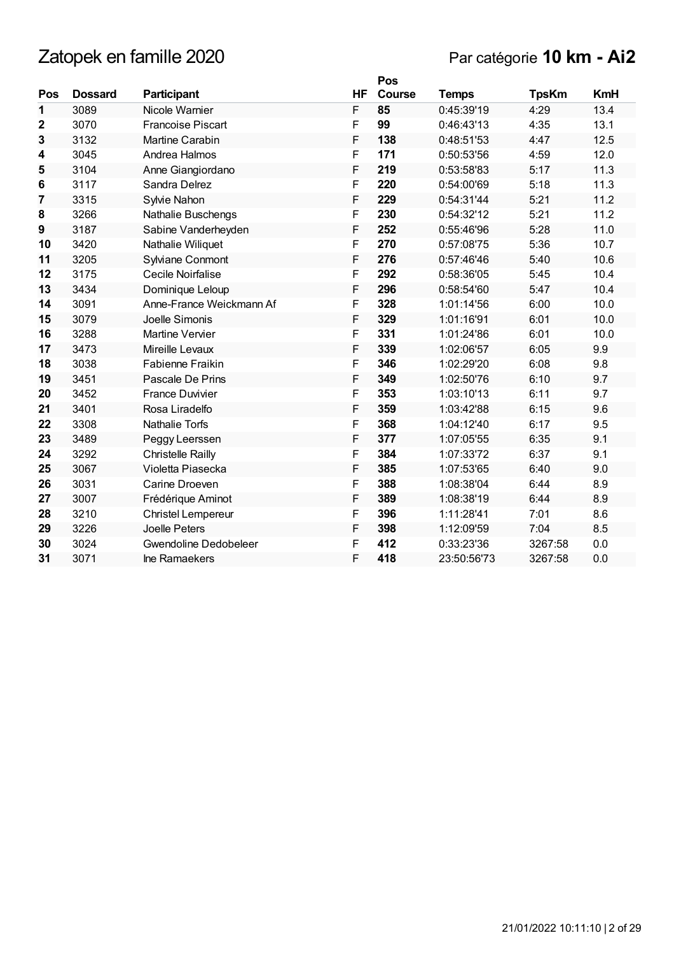|             |                |                          |             | Pos           |              |              |            |
|-------------|----------------|--------------------------|-------------|---------------|--------------|--------------|------------|
| Pos         | <b>Dossard</b> | Participant              | <b>HF</b>   | <b>Course</b> | <b>Temps</b> | <b>TpsKm</b> | <b>KmH</b> |
| 1           | 3089           | Nicole Warnier           | F           | 85            | 0:45:39'19   | 4:29         | 13.4       |
| $\mathbf 2$ | 3070           | <b>Francoise Piscart</b> | F           | 99            | 0:46:43'13   | 4:35         | 13.1       |
| 3           | 3132           | <b>Martine Carabin</b>   | F           | 138           | 0:48:51'53   | 4:47         | 12.5       |
| 4           | 3045           | Andrea Halmos            | F           | 171           | 0:50:53'56   | 4:59         | 12.0       |
| 5           | 3104           | Anne Giangiordano        | F           | 219           | 0:53:58'83   | 5:17         | 11.3       |
| 6           | 3117           | Sandra Delrez            | F           | 220           | 0:54:00'69   | 5:18         | 11.3       |
| 7           | 3315           | Sylvie Nahon             | F           | 229           | 0:54:31'44   | 5:21         | 11.2       |
| 8           | 3266           | Nathalie Buschengs       | F           | 230           | 0:54:32'12   | 5:21         | 11.2       |
| 9           | 3187           | Sabine Vanderheyden      | F           | 252           | 0:55:46'96   | 5:28         | 11.0       |
| 10          | 3420           | Nathalie Wiliquet        | F           | 270           | 0:57:08'75   | 5:36         | 10.7       |
| 11          | 3205           | Sylviane Conmont         | F           | 276           | 0:57:46'46   | 5:40         | 10.6       |
| 12          | 3175           | Cecile Noirfalise        | F           | 292           | 0:58:36'05   | 5:45         | 10.4       |
| 13          | 3434           | Dominique Leloup         | $\mathsf F$ | 296           | 0:58:54'60   | 5:47         | 10.4       |
| 14          | 3091           | Anne-France Weickmann Af | F           | 328           | 1:01:14'56   | 6:00         | 10.0       |
| 15          | 3079           | Joelle Simonis           | F           | 329           | 1:01:16'91   | 6:01         | 10.0       |
| 16          | 3288           | <b>Martine Vervier</b>   | F           | 331           | 1:01:24'86   | 6:01         | 10.0       |
| 17          | 3473           | Mireille Levaux          | F           | 339           | 1:02:06'57   | 6:05         | 9.9        |
| 18          | 3038           | <b>Fabienne Fraikin</b>  | F           | 346           | 1:02:29'20   | 6:08         | 9.8        |
| 19          | 3451           | Pascale De Prins         | F           | 349           | 1:02:50'76   | 6:10         | 9.7        |
| 20          | 3452           | <b>France Duvivier</b>   | F           | 353           | 1:03:10'13   | 6:11         | 9.7        |
| 21          | 3401           | Rosa Liradelfo           | F           | 359           | 1:03:42'88   | 6:15         | 9.6        |
| 22          | 3308           | Nathalie Torfs           | F           | 368           | 1:04:12'40   | 6:17         | 9.5        |
| 23          | 3489           | Peggy Leerssen           | F           | 377           | 1:07:05'55   | 6:35         | 9.1        |
| 24          | 3292           | <b>Christelle Railly</b> | F           | 384           | 1:07:33'72   | 6:37         | 9.1        |
| 25          | 3067           | Violetta Piasecka        | F           | 385           | 1:07:53'65   | 6:40         | 9.0        |
| 26          | 3031           | Carine Droeven           | F           | 388           | 1:08:38'04   | 6:44         | 8.9        |
| 27          | 3007           | Frédérique Aminot        | F           | 389           | 1:08:38'19   | 6:44         | 8.9        |
| 28          | 3210           | Christel Lempereur       | F           | 396           | 1:11:28'41   | 7:01         | 8.6        |
| 29          | 3226           | Joelle Peters            | F           | 398           | 1:12:09'59   | 7:04         | 8.5        |
| 30          | 3024           | Gwendoline Dedobeleer    | F           | 412           | 0:33:23'36   | 3267:58      | 0.0        |
| 31          | 3071           | Ine Ramaekers            | F           | 418           | 23:50:56'73  | 3267:58      | 0.0        |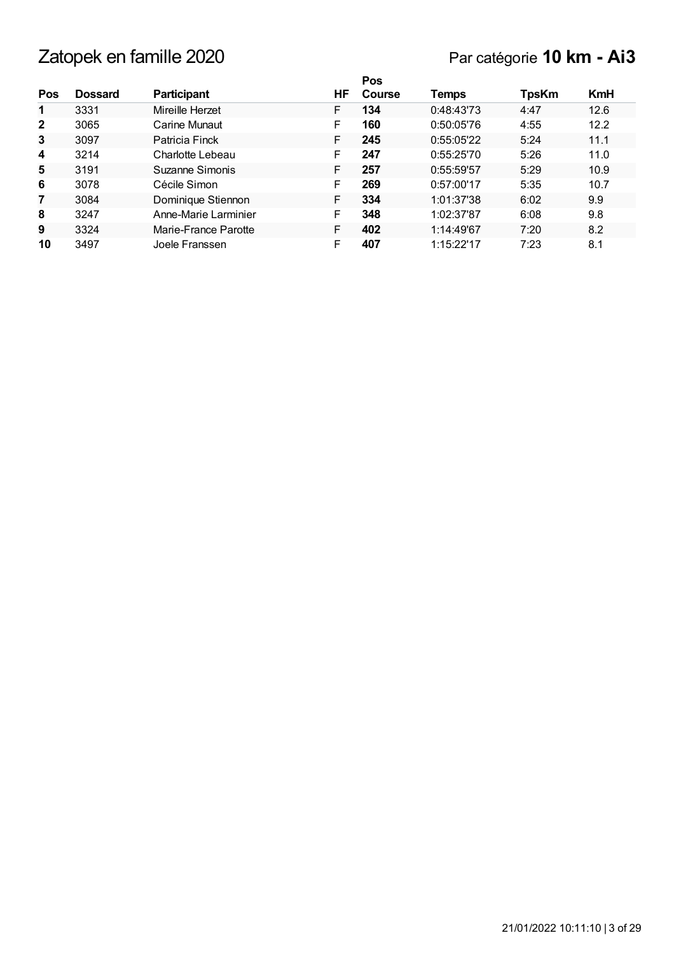|                |                |                      |     | Pos    |            |              |            |
|----------------|----------------|----------------------|-----|--------|------------|--------------|------------|
| Pos            | <b>Dossard</b> | <b>Participant</b>   | HF. | Course | Temps      | <b>TpsKm</b> | <b>KmH</b> |
| 1              | 3331           | Mireille Herzet      | F   | 134    | 0:48:43'73 | 4:47         | 12.6       |
| $\overline{2}$ | 3065           | Carine Munaut        | F   | 160    | 0:50:05'76 | 4:55         | 12.2       |
| 3              | 3097           | Patricia Finck       | F   | 245    | 0:55:05'22 | 5:24         | 11.1       |
| 4              | 3214           | Charlotte Lebeau     | F   | 247    | 0:55:25'70 | 5:26         | 11.0       |
| 5              | 3191           | Suzanne Simonis      | F   | 257    | 0:55:59'57 | 5:29         | 10.9       |
| 6              | 3078           | Cécile Simon         | F   | 269    | 0:57:00'17 | 5:35         | 10.7       |
| $\overline{7}$ | 3084           | Dominique Stiennon   | F   | 334    | 1:01:37'38 | 6:02         | 9.9        |
| 8              | 3247           | Anne-Marie Larminier | F   | 348    | 1:02:37'87 | 6:08         | 9.8        |
| 9              | 3324           | Marie-France Parotte | F   | 402    | 1:14:49'67 | 7:20         | 8.2        |
| 10             | 3497           | Joele Franssen       | F   | 407    | 1:15:22'17 | 7:23         | 8.1        |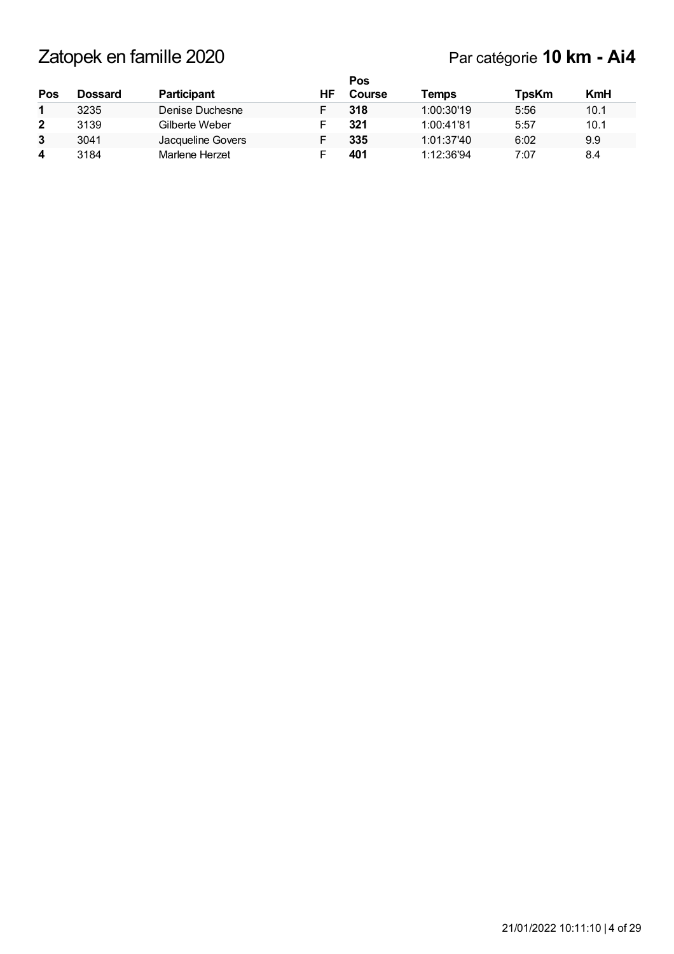| Pos          | Dossard | <b>Participant</b> | ΗF | Pos<br>Course | Temps      | <b>TpsKm</b> | <b>KmH</b> |
|--------------|---------|--------------------|----|---------------|------------|--------------|------------|
|              | 3235    | Denise Duchesne    |    | 318           | 1:00:30'19 | 5:56         | 10.1       |
| $\mathbf{2}$ | 3139    | Gilberte Weber     |    | 321           | 1:00:41'81 | 5:57         | 10.1       |
| 3            | 3041    | Jacqueline Govers  |    | 335           | 1:01:37'40 | 6:02         | 9.9        |
| 4            | 3184    | Marlene Herzet     |    | 401           | 1:12:36'94 | 7:07         | 8.4        |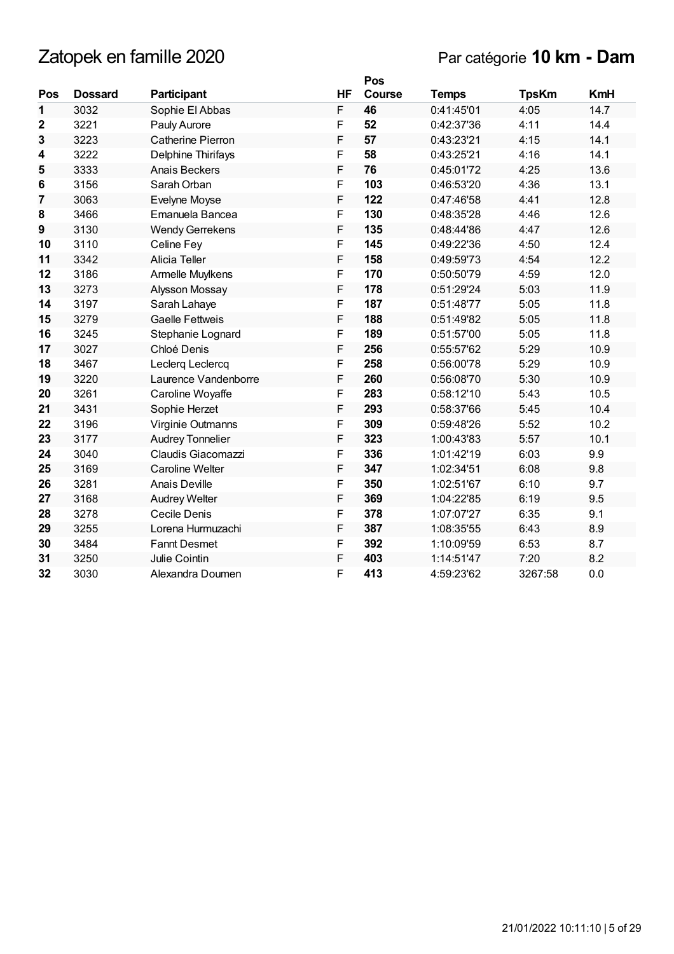|                 |                |                          |           | Pos    |              |              |            |
|-----------------|----------------|--------------------------|-----------|--------|--------------|--------------|------------|
| Pos             | <b>Dossard</b> | Participant              | <b>HF</b> | Course | <b>Temps</b> | <b>TpsKm</b> | <b>KmH</b> |
| 1               | 3032           | Sophie El Abbas          | F         | 46     | 0:41:45'01   | 4:05         | 14.7       |
| $\mathbf{2}$    | 3221           | Pauly Aurore             | F         | 52     | 0:42:37'36   | 4:11         | 14.4       |
| 3               | 3223           | <b>Catherine Pierron</b> | F         | 57     | 0:43:23'21   | 4:15         | 14.1       |
| 4               | 3222           | Delphine Thirifays       | F         | 58     | 0:43:25'21   | 4:16         | 14.1       |
| 5               | 3333           | Anais Beckers            | F         | 76     | 0:45:01'72   | 4:25         | 13.6       |
| $6\phantom{1}6$ | 3156           | Sarah Orban              | F         | 103    | 0:46:53'20   | 4:36         | 13.1       |
| $\overline{7}$  | 3063           | Evelyne Moyse            | F         | 122    | 0:47:46'58   | 4:41         | 12.8       |
| 8               | 3466           | Emanuela Bancea          | F         | 130    | 0:48:35'28   | 4:46         | 12.6       |
| 9               | 3130           | <b>Wendy Gerrekens</b>   | F         | 135    | 0:48:44'86   | 4:47         | 12.6       |
| 10              | 3110           | Celine Fey               | F         | 145    | 0:49:22'36   | 4:50         | 12.4       |
| 11              | 3342           | Alicia Teller            | F         | 158    | 0:49:59'73   | 4:54         | 12.2       |
| 12              | 3186           | Armelle Muylkens         | F         | 170    | 0:50:50'79   | 4:59         | 12.0       |
| 13              | 3273           | Alysson Mossay           | F         | 178    | 0:51:29'24   | 5:03         | 11.9       |
| 14              | 3197           | Sarah Lahaye             | F         | 187    | 0:51:48'77   | 5:05         | 11.8       |
| 15              | 3279           | <b>Gaelle Fettweis</b>   | F         | 188    | 0:51:49'82   | 5:05         | 11.8       |
| 16              | 3245           | Stephanie Lognard        | F         | 189    | 0:51:57'00   | 5:05         | 11.8       |
| 17              | 3027           | Chloé Denis              | F         | 256    | 0:55:57'62   | 5:29         | 10.9       |
| 18              | 3467           | Leclerq Leclercq         | F         | 258    | 0:56:00'78   | 5:29         | 10.9       |
| 19              | 3220           | Laurence Vandenborre     | F         | 260    | 0:56:08'70   | 5:30         | 10.9       |
| 20              | 3261           | Caroline Woyaffe         | F         | 283    | 0:58:12'10   | 5:43         | 10.5       |
| 21              | 3431           | Sophie Herzet            | F         | 293    | 0:58:37'66   | 5:45         | 10.4       |
| 22              | 3196           | Virginie Outmanns        | F         | 309    | 0:59:48'26   | 5:52         | 10.2       |
| 23              | 3177           | <b>Audrey Tonnelier</b>  | F         | 323    | 1:00:43'83   | 5:57         | 10.1       |
| 24              | 3040           | Claudis Giacomazzi       | F         | 336    | 1:01:42'19   | 6:03         | 9.9        |
| 25              | 3169           | <b>Caroline Welter</b>   | F         | 347    | 1:02:34'51   | 6:08         | 9.8        |
| 26              | 3281           | Anais Deville            | F         | 350    | 1:02:51'67   | 6:10         | 9.7        |
| 27              | 3168           | <b>Audrey Welter</b>     | F         | 369    | 1:04:22'85   | 6:19         | 9.5        |
| 28              | 3278           | Cecile Denis             | F         | 378    | 1:07:07'27   | 6:35         | 9.1        |
| 29              | 3255           | Lorena Hurmuzachi        | F         | 387    | 1:08:35'55   | 6:43         | 8.9        |
| 30              | 3484           | <b>Fannt Desmet</b>      | F         | 392    | 1:10:09'59   | 6:53         | 8.7        |
| 31              | 3250           | Julie Cointin            | F         | 403    | 1:14:51'47   | 7:20         | 8.2        |
| 32              | 3030           | Alexandra Doumen         | F         | 413    | 4:59:23'62   | 3267:58      | 0.0        |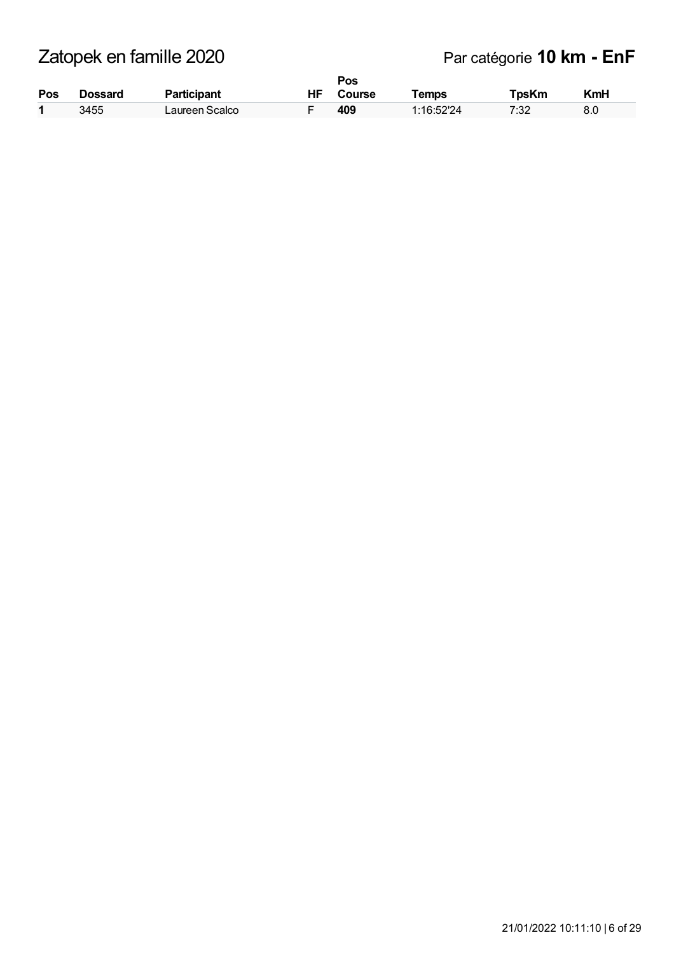| Pos | Dossard | <b>Participant</b> | ΗF | Pos<br>Course | <b>Temps</b> | TpsKm | KmH |
|-----|---------|--------------------|----|---------------|--------------|-------|-----|
| 4   | 3455    | Laureen Scalco     |    | 409           | 1:16:52'24   | 7:32  | 8.0 |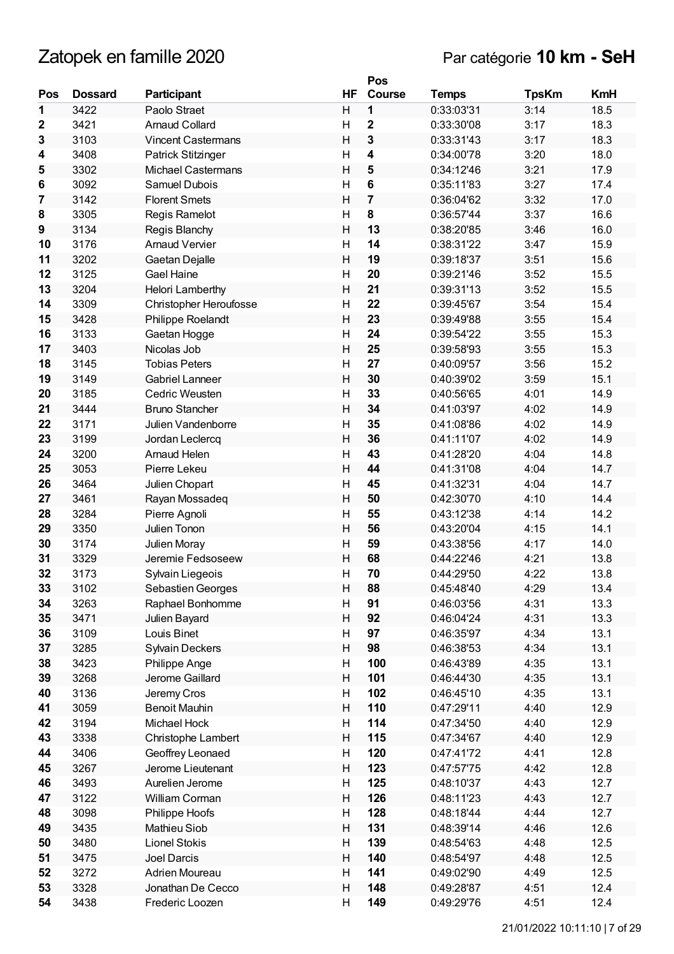|             |                |                           |                         | Pos                     |              |              |            |
|-------------|----------------|---------------------------|-------------------------|-------------------------|--------------|--------------|------------|
| Pos         | <b>Dossard</b> | Participant               | HF                      | <b>Course</b>           | <b>Temps</b> | <b>TpsKm</b> | <b>KmH</b> |
| 1           | 3422           | Paolo Straet              | H                       | 1                       | 0:33:03'31   | 3:14         | 18.5       |
| $\mathbf 2$ | 3421           | <b>Arnaud Collard</b>     | H                       | $\mathbf{2}$            | 0:33:30'08   | 3:17         | 18.3       |
| 3           | 3103           | <b>Vincent Castermans</b> | $\mathsf{H}$            | 3                       | 0:33:31'43   | 3:17         | 18.3       |
| 4           | 3408           | Patrick Stitzinger        | $\overline{H}$          | 4                       | 0:34:00'78   | 3:20         | 18.0       |
| 5           | 3302           | <b>Michael Castermans</b> | $\overline{H}$          | 5                       | 0:34:12'46   | 3:21         | 17.9       |
| 6           | 3092           | Samuel Dubois             | H                       | $\bf 6$                 | 0:35:11'83   | 3:27         | 17.4       |
| 7           | 3142           | <b>Florent Smets</b>      | $\overline{H}$          | $\overline{\mathbf{7}}$ | 0:36:04'62   | 3:32         | 17.0       |
| 8           | 3305           | Regis Ramelot             | $\mathsf{H}$            | $\pmb{8}$               | 0:36:57'44   | 3:37         | 16.6       |
| 9           | 3134           | Regis Blanchy             | $\mathsf{H}$            | 13                      | 0:38:20'85   | 3:46         | 16.0       |
| 10          | 3176           | <b>Arnaud Vervier</b>     | H                       | 14                      | 0:38:31'22   | 3:47         | 15.9       |
| 11          | 3202           | Gaetan Dejalle            | H                       | 19                      | 0:39:18'37   | 3:51         | 15.6       |
| 12          | 3125           | <b>Gael Haine</b>         | Η                       | 20                      | 0:39:21'46   | 3:52         | 15.5       |
| 13          | 3204           | Helori Lamberthy          | $\mathsf{H}$            | 21                      | 0:39:31'13   | 3:52         | 15.5       |
| 14          | 3309           | Christopher Heroufosse    | H                       | 22                      | 0:39:45'67   | 3:54         | 15.4       |
| 15          | 3428           | Philippe Roelandt         | $\mathsf{H}$            | 23                      | 0:39:49'88   | 3:55         | 15.4       |
| 16          | 3133           | Gaetan Hogge              | Η                       | 24                      | 0:39:54'22   | 3:55         | 15.3       |
| 17          | 3403           | Nicolas Job               | $\overline{H}$          | 25                      | 0:39:58'93   | 3:55         | 15.3       |
| 18          | 3145           | <b>Tobias Peters</b>      | $\overline{\mathsf{H}}$ | 27                      | 0:40:09'57   | 3:56         | 15.2       |
| 19          | 3149           | <b>Gabriel Lanneer</b>    | $\overline{H}$          | 30                      | 0:40:39'02   | 3:59         | 15.1       |
| 20          | 3185           | Cedric Weusten            | Η                       | 33                      | 0:40:56'65   | 4:01         | 14.9       |
| 21          | 3444           | <b>Bruno Stancher</b>     | H                       | 34                      | 0:41:03'97   | 4:02         | 14.9       |
| 22          | 3171           | Julien Vandenborre        | $\mathsf{H}$            | 35                      | 0:41:08'86   | 4:02         | 14.9       |
| 23          | 3199           | Jordan Leclercq           | H                       | 36                      | 0:41:11'07   | 4:02         | 14.9       |
| 24          | 3200           | Arnaud Helen              | $\mathsf{H}$            | 43                      | 0:41:28'20   | 4:04         | 14.8       |
| 25          | 3053           | Pierre Lekeu              | $\mathsf{H}$            | 44                      | 0:41:31'08   | 4:04         | 14.7       |
| 26          | 3464           | Julien Chopart            | Η                       | 45                      | 0:41:32'31   | 4:04         | 14.7       |
| 27          | 3461           | Rayan Mossadeq            | $\overline{H}$          | 50                      | 0:42:30'70   | 4:10         | 14.4       |
| 28          | 3284           | Pierre Agnoli             | $\mathsf{H}$            | 55                      | 0:43:12'38   | 4:14         | 14.2       |
| 29          | 3350           | Julien Tonon              | $\mathsf{H}$            | 56                      | 0:43:20'04   | 4:15         | 14.1       |
| 30          | 3174           | Julien Moray              | Η                       | 59                      | 0:43:38'56   | 4:17         | 14.0       |
| 31          | 3329           | Jeremie Fedsoseew         | H                       | 68                      | 0:44:22'46   | 4:21         | 13.8       |
| 32          | 3173           | Sylvain Liegeois          | $\mathsf{H}$            | 70                      | 0:44:29'50   | 4:22         | 13.8       |
| 33          | 3102           | Sebastien Georges         | $\sf H$                 | 88                      | 0:45:48'40   | 4:29         | 13.4       |
| 34          | 3263           | Raphael Bonhomme          | Η                       | 91                      | 0:46:03'56   | 4:31         | 13.3       |
| 35          | 3471           | Julien Bayard             | Н                       | 92                      | 0:46:04'24   | 4:31         | 13.3       |
| 36          | 3109           | Louis Binet               | н                       | 97                      | 0:46:35'97   | 4:34         | 13.1       |
| 37          | 3285           | <b>Sylvain Deckers</b>    | Н                       | 98                      | 0:46:38'53   | 4:34         | 13.1       |
| 38          | 3423           | Philippe Ange             | Н                       | 100                     | 0:46:43'89   | 4:35         | 13.1       |
| 39          | 3268           | Jerome Gaillard           | Н                       | 101                     | 0:46:44'30   | 4:35         | 13.1       |
| 40          | 3136           | Jeremy Cros               | Н                       | 102                     | 0:46:45'10   | 4:35         | 13.1       |
| 41          | 3059           | <b>Benoit Mauhin</b>      | Н                       | 110                     | 0:47:29'11   | 4:40         | 12.9       |
| 42          | 3194           | Michael Hock              | Н                       | 114                     | 0:47:34'50   | 4:40         | 12.9       |
| 43          | 3338           | Christophe Lambert        | Н                       | 115                     | 0:47:34'67   | 4:40         | 12.9       |
| 44          | 3406           | Geoffrey Leonaed          | Н                       | 120                     | 0:47:41'72   | 4:41         | 12.8       |
| 45          | 3267           | Jerome Lieutenant         | H                       | 123                     | 0:47:57'75   | 4:42         | 12.8       |
| 46          | 3493           | Aurelien Jerome           | Н                       | 125                     | 0:48:10'37   | 4:43         | 12.7       |
| 47          | 3122           | William Corman            | Н                       | 126                     | 0:48:11'23   | 4:43         | 12.7       |
| 48          | 3098           | Philippe Hoofs            | Н                       | 128                     | 0:48:18'44   | 4:44         | 12.7       |
| 49          | 3435           | Mathieu Siob              | Н                       | 131                     | 0:48:39'14   | 4:46         | 12.6       |
| 50          | 3480           | Lionel Stokis             | Н                       | 139                     | 0:48:54'63   | 4:48         | 12.5       |
| 51          | 3475           | Joel Darcis               | Н                       | 140                     | 0:48:54'97   | 4:48         | 12.5       |
| 52          | 3272           | Adrien Moureau            | Н                       | 141                     | 0:49:02'90   | 4:49         | 12.5       |
| 53          | 3328           | Jonathan De Cecco         | Н                       | 148                     | 0:49:28'87   | 4:51         | 12.4       |
| 54          | 3438           | Frederic Loozen           | $\overline{\mathsf{H}}$ | 149                     | 0:49:29'76   | 4:51         | 12.4       |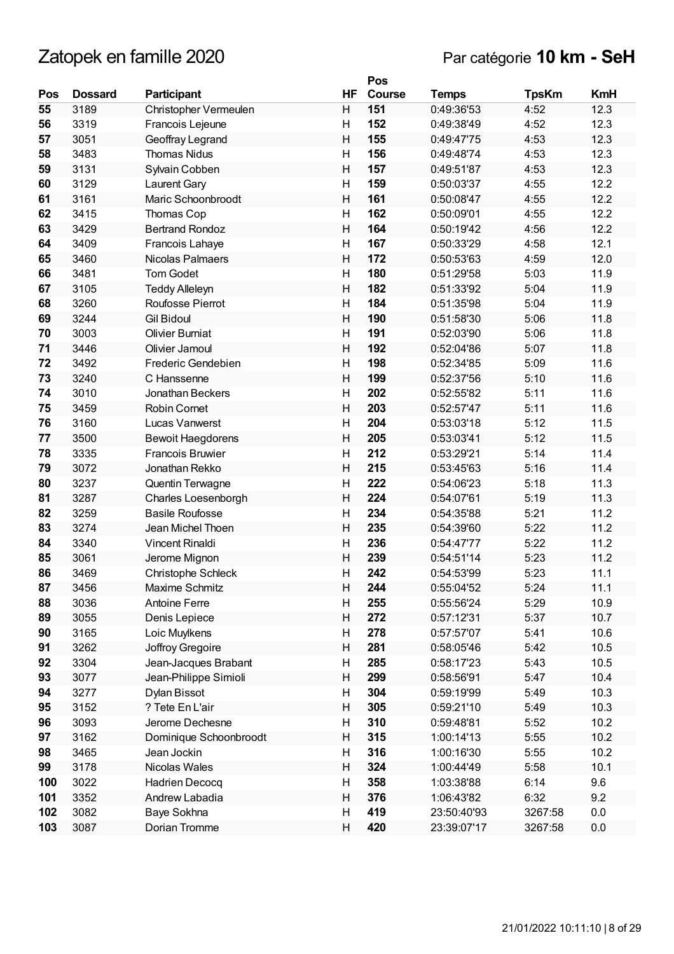## Par catégorie **10 km - SeH**

|     |                |                          |    | Pos    |              |              |            |
|-----|----------------|--------------------------|----|--------|--------------|--------------|------------|
| Pos | <b>Dossard</b> | Participant              | HF | Course | <b>Temps</b> | <b>TpsKm</b> | <b>KmH</b> |
| 55  | 3189           | Christopher Vermeulen    | H  | 151    | 0:49:36'53   | 4:52         | 12.3       |
| 56  | 3319           | Francois Lejeune         | H  | 152    | 0:49:38'49   | 4:52         | 12.3       |
| 57  | 3051           | Geoffray Legrand         | H  | 155    | 0:49:47'75   | 4:53         | 12.3       |
| 58  | 3483           | <b>Thomas Nidus</b>      | Н  | 156    | 0:49:48'74   | 4:53         | 12.3       |
| 59  | 3131           | Sylvain Cobben           | H  | 157    | 0:49:51'87   | 4:53         | 12.3       |
| 60  | 3129           | Laurent Gary             | Н  | 159    | 0:50:03'37   | 4:55         | 12.2       |
| 61  | 3161           | Maric Schoonbroodt       | H  | 161    | 0:50:08'47   | 4:55         | 12.2       |
| 62  | 3415           | Thomas Cop               | н  | 162    | 0:50:09'01   | 4:55         | 12.2       |
| 63  | 3429           | <b>Bertrand Rondoz</b>   | H  | 164    | 0:50:19'42   | 4:56         | 12.2       |
| 64  | 3409           | Francois Lahaye          | н  | 167    | 0:50:33'29   | 4:58         | 12.1       |
| 65  | 3460           | Nicolas Palmaers         | H  | 172    | 0:50:53'63   | 4:59         | 12.0       |
| 66  | 3481           | <b>Tom Godet</b>         | H  | 180    | 0:51:29'58   | 5:03         | 11.9       |
| 67  | 3105           | <b>Teddy Alleleyn</b>    | H  | 182    | 0:51:33'92   | 5:04         | 11.9       |
| 68  | 3260           | Roufosse Pierrot         | Н  | 184    | 0:51:35'98   | 5:04         | 11.9       |
| 69  | 3244           | <b>Gil Bidoul</b>        | H  | 190    | 0:51:58'30   | 5:06         | 11.8       |
| 70  | 3003           | <b>Olivier Burniat</b>   | Н  | 191    | 0:52:03'90   | 5:06         | 11.8       |
| 71  | 3446           | Olivier Jamoul           | H  | 192    | 0:52:04'86   | 5:07         | 11.8       |
| 72  | 3492           | Frederic Gendebien       | Н  | 198    | 0:52:34'85   | 5:09         | 11.6       |
| 73  | 3240           | C Hanssenne              | H  | 199    | 0:52:37'56   | 5:10         | 11.6       |
| 74  | 3010           | Jonathan Beckers         | Η  | 202    | 0:52:55'82   | 5:11         | 11.6       |
| 75  | 3459           | <b>Robin Cornet</b>      | H  | 203    | 0:52:57'47   | 5:11         | 11.6       |
| 76  | 3160           | Lucas Vanwerst           | н  | 204    | 0:53:03'18   | 5:12         | 11.5       |
| 77  | 3500           | <b>Bewoit Haegdorens</b> | H  | 205    | 0:53:03'41   | 5:12         | 11.5       |
| 78  | 3335           | <b>Francois Bruwier</b>  | Η  | 212    | 0:53:29'21   | 5:14         | 11.4       |
| 79  | 3072           | Jonathan Rekko           | H  | 215    | 0:53:45'63   | 5:16         | 11.4       |
| 80  | 3237           | Quentin Terwagne         | Н  | 222    | 0:54:06'23   | 5:18         | 11.3       |
| 81  | 3287           | Charles Loesenborgh      | H  | 224    | 0:54:07'61   | 5:19         | 11.3       |
| 82  | 3259           | <b>Basile Roufosse</b>   | Н  | 234    | 0:54:35'88   | 5:21         | 11.2       |
| 83  | 3274           | Jean Michel Thoen        | H  | 235    | 0:54:39'60   | 5:22         | 11.2       |
| 84  | 3340           | <b>Vincent Rinaldi</b>   | Η  | 236    | 0:54:47'77   | 5:22         | 11.2       |
| 85  | 3061           | Jerome Mignon            | H  | 239    | 0:54:51'14   | 5:23         | 11.2       |
| 86  | 3469           | Christophe Schleck       | H  | 242    | 0:54:53'99   | 5:23         | 11.1       |
| 87  | 3456           | Maxime Schmitz           | Н  | 244    | 0:55:04'52   | 5:24         | 11.1       |
| 88  | 3036           | <b>Antoine Ferre</b>     | Н  | 255    | 0:55:56'24   | 5:29         | 10.9       |
| 89  | 3055           | Denis Lepiece            | Н  | 272    | 0:57:12'31   | 5:37         | 10.7       |
| 90  | 3165           | Loic Muylkens            | Н  | 278    | 0:57:57'07   | 5:41         | 10.6       |
| 91  | 3262           | Joffroy Gregoire         | н  | 281    | 0:58:05'46   | 5:42         | 10.5       |
| 92  | 3304           | Jean-Jacques Brabant     | Н  | 285    | 0:58:17'23   | 5:43         | 10.5       |
| 93  | 3077           | Jean-Philippe Simioli    | Н  | 299    | 0:58:56'91   | 5:47         | 10.4       |
| 94  | 3277           | Dylan Bissot             | Н  | 304    | 0:59:19'99   | 5:49         | 10.3       |
| 95  | 3152           | ? Tete En L'air          | Н  | 305    | 0:59:21'10   | 5:49         | 10.3       |
| 96  | 3093           | Jerome Dechesne          | Н  | 310    | 0:59:48'81   | 5:52         | 10.2       |
| 97  | 3162           | Dominique Schoonbroodt   | Н  | 315    | 1:00:14'13   | 5:55         | 10.2       |
| 98  | 3465           | Jean Jockin              | Н  | 316    | 1:00:16'30   | 5:55         | 10.2       |
| 99  | 3178           | Nicolas Wales            | Н  | 324    | 1:00:44'49   | 5:58         | 10.1       |
| 100 | 3022           | Hadrien Decocq           | Н  | 358    | 1:03:38'88   | 6:14         | 9.6        |
| 101 | 3352           | Andrew Labadia           | H  | 376    | 1:06:43'82   | 6:32         | 9.2        |
| 102 | 3082           | Baye Sokhna              | Н  | 419    | 23:50:40'93  | 3267:58      | 0.0        |
| 103 | 3087           | Dorian Tromme            | Н  | 420    | 23:39:07'17  | 3267:58      | 0.0        |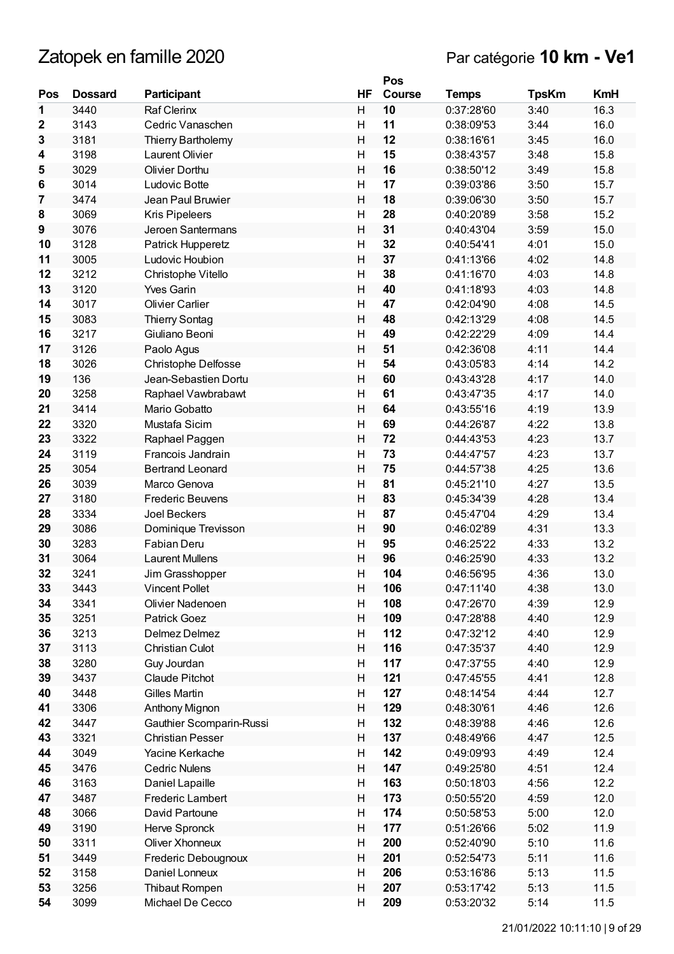|             |                |                            |                           | Pos    |              |              |            |
|-------------|----------------|----------------------------|---------------------------|--------|--------------|--------------|------------|
| Pos         | <b>Dossard</b> | <b>Participant</b>         | <b>HF</b>                 | Course | <b>Temps</b> | <b>TpsKm</b> | <b>KmH</b> |
| 1           | 3440           | <b>Raf Clerinx</b>         | H                         | 10     | 0:37:28'60   | 3:40         | 16.3       |
| $\mathbf 2$ | 3143           | Cedric Vanaschen           | Η                         | 11     | 0:38:09'53   | 3:44         | 16.0       |
| 3           | 3181           | Thierry Bartholemy         | H                         | 12     | 0:38:16'61   | 3:45         | 16.0       |
| 4           | 3198           | <b>Laurent Olivier</b>     | H                         | 15     | 0:38:43'57   | 3:48         | 15.8       |
| 5           | 3029           | Olivier Dorthu             | $\overline{\mathsf{H}}$   | 16     | 0:38:50'12   | 3:49         | 15.8       |
| 6           | 3014           | Ludovic Botte              | H                         | 17     | 0:39:03'86   | 3:50         | 15.7       |
| 7           | 3474           | Jean Paul Bruwier          | $\overline{\mathsf{H}}$   | 18     | 0:39:06'30   | 3:50         | 15.7       |
| 8           | 3069           | <b>Kris Pipeleers</b>      | $\mathsf{H}$              | 28     | 0:40:20'89   | 3:58         | 15.2       |
| 9           | 3076           | Jeroen Santermans          | $\overline{\mathsf{H}}$   | 31     | 0:40:43'04   | 3:59         | 15.0       |
| 10          | 3128           | Patrick Hupperetz          | $\overline{\mathsf{H}}$   | 32     | 0:40:54'41   | 4:01         | 15.0       |
| 11          | 3005           | Ludovic Houbion            | H                         | 37     | 0:41:13'66   | 4:02         | 14.8       |
| 12          | 3212           | Christophe Vitello         | Η                         | 38     | 0:41:16'70   | 4:03         | 14.8       |
| 13          | 3120           | <b>Yves Garin</b>          | $\overline{\mathsf{H}}$   | 40     | 0:41:18'93   | 4:03         | 14.8       |
| 14          | 3017           | <b>Olivier Carlier</b>     | $\mathsf{H}$              | 47     | 0:42:04'90   | 4:08         | 14.5       |
| 15          | 3083           | <b>Thierry Sontag</b>      | $\overline{\mathsf{H}}$   | 48     | 0:42:13'29   | 4:08         | 14.5       |
| 16          | 3217           | Giuliano Beoni             | Н                         | 49     | 0:42:22'29   | 4:09         | 14.4       |
| 17          | 3126           | Paolo Agus                 | H                         | 51     | 0:42:36'08   | 4:11         | 14.4       |
| 18          | 3026           | <b>Christophe Delfosse</b> | $\mathsf{H}$              | 54     | 0:43:05'83   | 4:14         | 14.2       |
| 19          | 136            | Jean-Sebastien Dortu       | $\overline{\mathsf{H}}$   | 60     | 0:43:43'28   | 4:17         | 14.0       |
| 20          | 3258           | Raphael Vawbrabawt         | H                         | 61     | 0:43:47'35   | 4:17         | 14.0       |
| 21          | 3414           | Mario Gobatto              | $\overline{\mathsf{H}}$   | 64     | 0:43:55'16   | 4:19         | 13.9       |
| 22          | 3320           | Mustafa Sicim              | H                         | 69     | 0:44:26'87   | 4:22         | 13.8       |
| 23          | 3322           | Raphael Paggen             | $\overline{H}$            | 72     | 0:44:43'53   | 4:23         | 13.7       |
| 24          | 3119           | Francois Jandrain          | H                         | 73     | 0:44:47'57   | 4:23         | 13.7       |
| 25          | 3054           | <b>Bertrand Leonard</b>    | $\overline{\mathsf{H}}$   | 75     | 0:44:57'38   | 4:25         | 13.6       |
| 26          | 3039           | Marco Genova               | H                         | 81     | 0:45:21'10   | 4:27         | 13.5       |
| 27          | 3180           | <b>Frederic Beuvens</b>    | H                         | 83     | 0:45:34'39   | 4:28         | 13.4       |
| 28          | 3334           | <b>Joel Beckers</b>        | $\mathsf{H}$              | 87     | 0:45:47'04   | 4:29         | 13.4       |
| 29          | 3086           | Dominique Trevisson        | $\overline{\mathsf{H}}$   | 90     | 0:46:02'89   | 4:31         | 13.3       |
| 30          | 3283           | Fabian Deru                | H                         | 95     | 0:46:25'22   | 4:33         | 13.2       |
| 31          | 3064           | <b>Laurent Mullens</b>     | H                         | 96     | 0:46:25'90   | 4:33         | 13.2       |
| 32          | 3241           | Jim Grasshopper            | Η                         | 104    | 0:46:56'95   | 4:36         | 13.0       |
| 33          | 3443           | <b>Vincent Pollet</b>      | $\boldsymbol{\mathsf{H}}$ | 106    | 0:47:11'40   | 4:38         | 13.0       |
| 34          | 3341           | Olivier Nadenoen           | Η                         | 108    | 0:47:26'70   | 4:39         | 12.9       |
| 35          | 3251           | <b>Patrick Goez</b>        | н                         | 109    | 0:47:28'88   | 4:40         | 12.9       |
| 36          | 3213           | Delmez Delmez              | H                         | 112    | 0:47:32'12   | 4:40         | 12.9       |
| 37          | 3113           | <b>Christian Culot</b>     | H                         | 116    | 0:47:35'37   | 4:40         | 12.9       |
| 38          | 3280           | Guy Jourdan                | Н                         | 117    | 0:47:37'55   | 4:40         | 12.9       |
| 39          | 3437           | <b>Claude Pitchot</b>      | Н                         | 121    | 0:47:45'55   | 4:41         | 12.8       |
| 40          | 3448           | Gilles Martin              | H                         | 127    | 0:48:14'54   | 4:44         | 12.7       |
| 41          | 3306           | Anthony Mignon             | Н                         | 129    | 0:48:30'61   | 4:46         | 12.6       |
| 42          | 3447           | Gauthier Scomparin-Russi   | Н                         | 132    | 0:48:39'88   | 4:46         | 12.6       |
| 43          | 3321           | <b>Christian Pesser</b>    | H                         | 137    | 0:48:49'66   | 4:47         | 12.5       |
| 44          | 3049           | Yacine Kerkache            | Н                         | 142    | 0:49:09'93   | 4:49         | 12.4       |
| 45          | 3476           | <b>Cedric Nulens</b>       | н                         | 147    | 0:49:25'80   | 4:51         | 12.4       |
| 46          | 3163           | Daniel Lapaille            | H                         | 163    | 0:50:18'03   | 4:56         | 12.2       |
| 47          | 3487           | Frederic Lambert           | H                         | 173    | 0:50:55'20   | 4:59         | 12.0       |
| 48          | 3066           | David Partoune             | Н                         | 174    | 0:50:58'53   | 5:00         | 12.0       |
| 49          | 3190           | Herve Spronck              | Н                         | 177    | 0:51:26'66   | 5:02         | 11.9       |
| 50          | 3311           | Oliver Xhonneux            | H                         | 200    | 0:52:40'90   | 5:10         | 11.6       |
| 51          | 3449           | Frederic Debougnoux        | Н                         | 201    | 0:52:54'73   | 5:11         | 11.6       |
| 52          | 3158           | Daniel Lonneux             | H                         | 206    | 0:53:16'86   | 5:13         | 11.5       |
| 53          | 3256           | Thibaut Rompen             | $\boldsymbol{\mathsf{H}}$ | 207    | 0:53:17'42   | 5:13         | 11.5       |
| 54          | 3099           | Michael De Cecco           | $\mathsf{H}$              | 209    | 0:53:20'32   | 5:14         | 11.5       |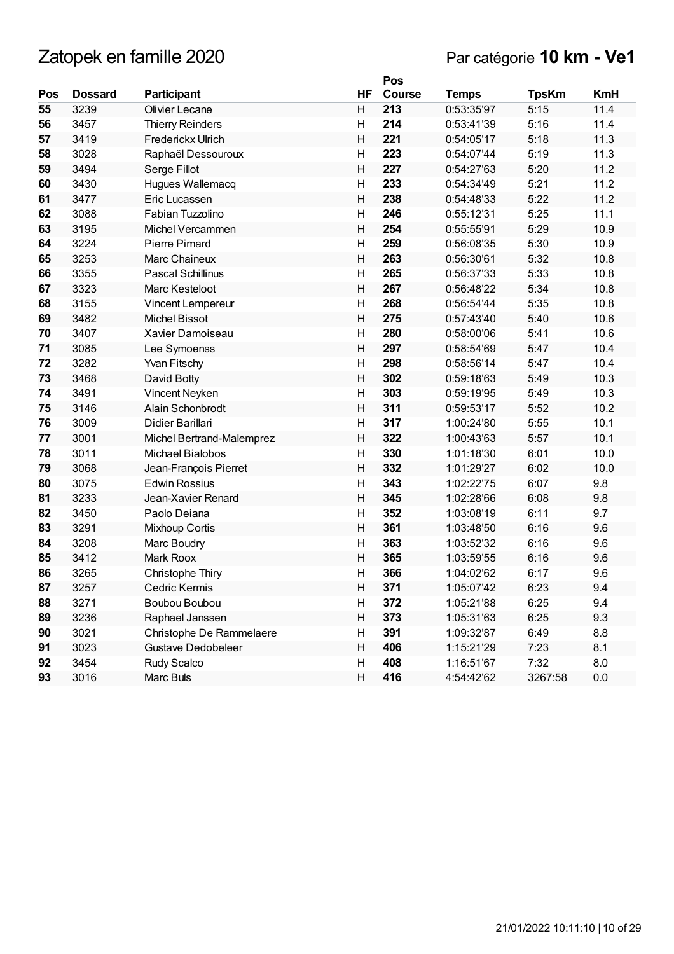## Par catégorie **10 km - Ve1**

|     |                |                           |                         | Pos           |              |              |            |
|-----|----------------|---------------------------|-------------------------|---------------|--------------|--------------|------------|
| Pos | <b>Dossard</b> | <b>Participant</b>        | HF                      | <b>Course</b> | <b>Temps</b> | <b>TpsKm</b> | <b>KmH</b> |
| 55  | 3239           | Olivier Lecane            | н                       | 213           | 0:53:35'97   | 5:15         | 11.4       |
| 56  | 3457           | <b>Thierry Reinders</b>   | H                       | 214           | 0:53:41'39   | 5:16         | 11.4       |
| 57  | 3419           | Frederickx Ulrich         | $\overline{\mathsf{H}}$ | 221           | 0:54:05'17   | 5:18         | 11.3       |
| 58  | 3028           | Raphaël Dessouroux        | $\mathsf{H}$            | 223           | 0:54:07'44   | 5:19         | 11.3       |
| 59  | 3494           | Serge Fillot              | H                       | 227           | 0:54:27'63   | 5:20         | 11.2       |
| 60  | 3430           | Hugues Wallemacq          | $\mathsf{H}$            | 233           | 0:54:34'49   | 5:21         | 11.2       |
| 61  | 3477           | Eric Lucassen             | H                       | 238           | 0:54:48'33   | 5:22         | 11.2       |
| 62  | 3088           | Fabian Tuzzolino          | Η                       | 246           | 0:55:12'31   | 5:25         | 11.1       |
| 63  | 3195           | Michel Vercammen          | $\overline{\mathsf{H}}$ | 254           | 0:55:55'91   | 5:29         | 10.9       |
| 64  | 3224           | <b>Pierre Pimard</b>      | $\overline{\mathsf{H}}$ | 259           | 0:56:08'35   | 5:30         | 10.9       |
| 65  | 3253           | Marc Chaineux             | Н                       | 263           | 0:56:30'61   | 5:32         | 10.8       |
| 66  | 3355           | Pascal Schillinus         | Η                       | 265           | 0:56:37'33   | 5:33         | 10.8       |
| 67  | 3323           | Marc Kesteloot            | H                       | 267           | 0:56:48'22   | 5:34         | 10.8       |
| 68  | 3155           | Vincent Lempereur         | $\mathsf{H}$            | 268           | 0:56:54'44   | 5:35         | 10.8       |
| 69  | 3482           | <b>Michel Bissot</b>      | H                       | 275           | 0:57:43'40   | 5:40         | 10.6       |
| 70  | 3407           | Xavier Damoiseau          | $\mathsf{H}$            | 280           | 0:58:00'06   | 5:41         | 10.6       |
| 71  | 3085           | Lee Symoenss              | H                       | 297           | 0:58:54'69   | 5:47         | 10.4       |
| 72  | 3282           | <b>Yvan Fitschy</b>       | Η                       | 298           | 0:58:56'14   | 5:47         | 10.4       |
| 73  | 3468           | David Botty               | Н                       | 302           | 0:59:18'63   | 5:49         | 10.3       |
| 74  | 3491           | Vincent Neyken            | $\overline{\mathsf{H}}$ | 303           | 0:59:19'95   | 5:49         | 10.3       |
| 75  | 3146           | Alain Schonbrodt          | Η                       | 311           | 0:59:53'17   | 5:52         | 10.2       |
| 76  | 3009           | Didier Barillari          | Η                       | 317           | 1:00:24'80   | 5:55         | 10.1       |
| 77  | 3001           | Michel Bertrand-Malemprez | $\overline{\mathsf{H}}$ | 322           | 1:00:43'63   | 5:57         | 10.1       |
| 78  | 3011           | Michael Bialobos          | $\mathsf{H}$            | 330           | 1:01:18'30   | 6:01         | 10.0       |
| 79  | 3068           | Jean-François Pierret     | H                       | 332           | 1:01:29'27   | 6:02         | 10.0       |
| 80  | 3075           | <b>Edwin Rossius</b>      | $\mathsf{H}$            | 343           | 1:02:22'75   | 6:07         | 9.8        |
| 81  | 3233           | Jean-Xavier Renard        | H                       | 345           | 1:02:28'66   | 6:08         | 9.8        |
| 82  | 3450           | Paolo Deiana              | Η                       | 352           | 1:03:08'19   | 6:11         | 9.7        |
| 83  | 3291           | Mixhoup Cortis            | $\overline{\mathsf{H}}$ | 361           | 1:03:48'50   | 6:16         | 9.6        |
| 84  | 3208           | Marc Boudry               | Η                       | 363           | 1:03:52'32   | 6:16         | 9.6        |
| 85  | 3412           | Mark Roox                 | H                       | 365           | 1:03:59'55   | 6:16         | 9.6        |
| 86  | 3265           | Christophe Thiry          | Η                       | 366           | 1:04:02'62   | 6:17         | 9.6        |
| 87  | 3257           | Cedric Kermis             | Н                       | 371           | 1:05:07'42   | 6:23         | 9.4        |
| 88  | 3271           | <b>Boubou Boubou</b>      | H                       | 372           | 1:05:21'88   | 6:25         | 9.4        |
| 89  | 3236           | Raphael Janssen           | Η                       | 373           | 1:05:31'63   | 6:25         | 9.3        |
| 90  | 3021           | Christophe De Rammelaere  | Н                       | 391           | 1:09:32'87   | 6:49         | 8.8        |
| 91  | 3023           | Gustave Dedobeleer        | Н                       | 406           | 1:15:21'29   | 7:23         | 8.1        |
| 92  | 3454           | Rudy Scalco               | Н                       | 408           | 1:16:51'67   | 7:32         | $8.0\,$    |
| 93  | 3016           | Marc Buls                 | Н                       | 416           | 4:54:42'62   | 3267:58      | 0.0        |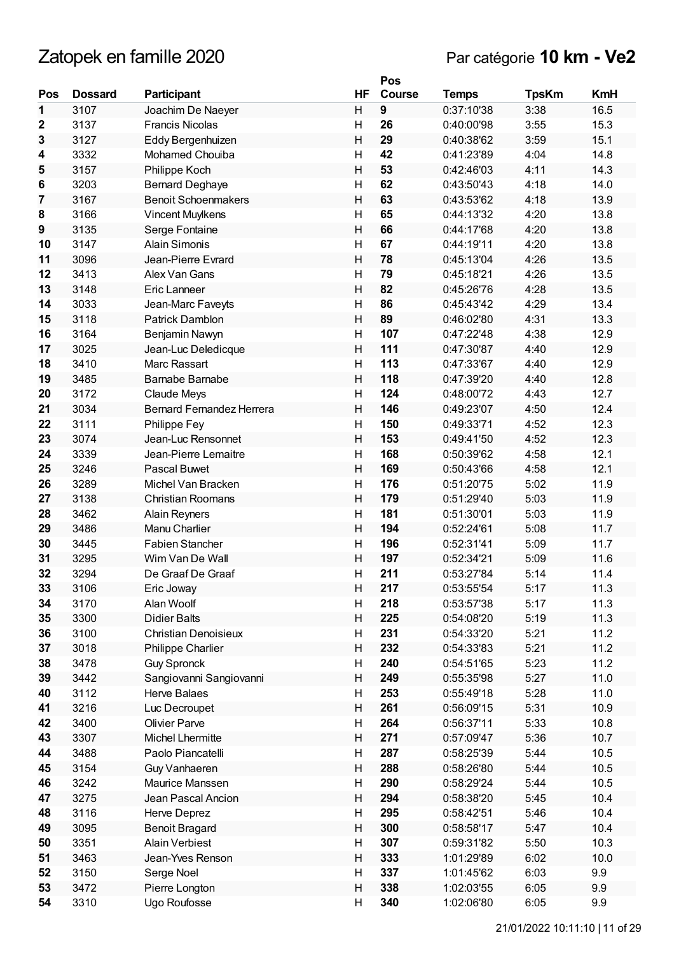|                  |                |                                  |                         | Pos           |              |              |            |
|------------------|----------------|----------------------------------|-------------------------|---------------|--------------|--------------|------------|
| Pos              | <b>Dossard</b> | Participant                      | HF                      | <b>Course</b> | <b>Temps</b> | <b>TpsKm</b> | <b>KmH</b> |
| 1                | 3107           | Joachim De Naeyer                | H                       | 9             | 0:37:10'38   | 3:38         | 16.5       |
| $\boldsymbol{2}$ | 3137           | <b>Francis Nicolas</b>           | H                       | 26            | 0:40:00'98   | 3:55         | 15.3       |
| 3                | 3127           | Eddy Bergenhuizen                | H                       | 29            | 0:40:38'62   | 3:59         | 15.1       |
| 4                | 3332           | Mohamed Chouiba                  | H                       | 42            | 0:41:23'89   | 4:04         | 14.8       |
| 5                | 3157           | Philippe Koch                    | Н                       | 53            | 0:42:46'03   | 4:11         | 14.3       |
| 6                | 3203           | <b>Bernard Deghaye</b>           | Η                       | 62            | 0:43:50'43   | 4:18         | 14.0       |
| 7                | 3167           | <b>Benoit Schoenmakers</b>       | Η                       | 63            | 0:43:53'62   | 4:18         | 13.9       |
| 8                | 3166           | Vincent Muylkens                 | Η                       | 65            | 0:44:13'32   | 4:20         | 13.8       |
| 9                | 3135           | Serge Fontaine                   | H                       | 66            | 0:44:17'68   | 4:20         | 13.8       |
| 10               | 3147           | <b>Alain Simonis</b>             | $\overline{\mathsf{H}}$ | 67            | 0:44:19'11   | 4:20         | 13.8       |
| 11               | 3096           | Jean-Pierre Evrard               | H                       | 78            | 0:45:13'04   | 4:26         | 13.5       |
| 12               | 3413           | Alex Van Gans                    | н                       | 79            | 0:45:18'21   | 4:26         | 13.5       |
| 13               | 3148           | Eric Lanneer                     | H                       | 82            | 0:45:26'76   | 4:28         | 13.5       |
| 14               | 3033           | Jean-Marc Faveyts                | Η                       | 86            | 0:45:43'42   | 4:29         | 13.4       |
| 15               | 3118           | <b>Patrick Damblon</b>           | Η                       | 89            | 0:46:02'80   | 4:31         | 13.3       |
| 16               | 3164           | Benjamin Nawyn                   | Η                       | 107           | 0:47:22'48   | 4:38         | 12.9       |
| 17               | 3025           | Jean-Luc Deledicque              | Н                       | 111           | 0:47:30'87   | 4:40         | 12.9       |
| 18               | 3410           | Marc Rassart                     | Η                       | 113           | 0:47:33'67   | 4:40         | 12.9       |
| 19               | 3485           | Barnabe Barnabe                  | H                       | 118           | 0:47:39'20   | 4:40         | 12.8       |
| 20               | 3172           | Claude Meys                      | Н                       | 124           | 0:48:00'72   | 4:43         | 12.7       |
| 21               | 3034           | <b>Bernard Fernandez Herrera</b> | Н                       | 146           | 0:49:23'07   | 4:50         | 12.4       |
| 22               | 3111           | Philippe Fey                     | H                       | 150           | 0:49:33'71   | 4:52         | 12.3       |
| 23               | 3074           | Jean-Luc Rensonnet               | H                       | 153           | 0:49:41'50   | 4:52         | 12.3       |
| 24               | 3339           | Jean-Pierre Lemaitre             | H                       | 168           | 0:50:39'62   | 4:58         | 12.1       |
| 25               | 3246           | Pascal Buwet                     | Η                       | 169           | 0:50:43'66   | 4:58         | 12.1       |
| 26               | 3289           | Michel Van Bracken               | Η                       | 176           | 0:51:20'75   | 5:02         | 11.9       |
| 27               | 3138           | <b>Christian Roomans</b>         | Н                       | 179           | 0:51:29'40   | 5:03         | 11.9       |
| 28               | 3462           | Alain Reyners                    | Η                       | 181           | 0:51:30'01   | 5:03         | 11.9       |
| 29               | 3486           | Manu Charlier                    | H                       | 194           | 0:52:24'61   | 5:08         | 11.7       |
| 30               | 3445           | <b>Fabien Stancher</b>           | $\overline{\mathsf{H}}$ | 196           | 0:52:31'41   | 5:09         | 11.7       |
| 31               | 3295           | Wim Van De Wall                  | Η                       | 197           | 0:52:34'21   | 5:09         | 11.6       |
| 32               | 3294           | De Graaf De Graaf                | н                       | 211           | 0:53:27'84   | 5:14         | 11.4       |
| 33               | 3106           | Eric Joway                       | Η                       | 217           | 0:53:55'54   | 5:17         | 11.3       |
| 34               | 3170           | Alan Woolf                       | н                       | 218           | 0:53:57'38   | 5:17         | 11.3       |
| 35               | 3300           | <b>Didier Balts</b>              | Н                       | 225           | 0:54:08'20   | 5:19         | 11.3       |
| 36               | 3100           | Christian Denoisieux             | н                       | 231           | 0:54:33'20   | 5:21         | 11.2       |
| 37               | 3018           | Philippe Charlier                | Н                       | 232           | 0:54:33'83   | 5:21         | 11.2       |
| 38               | 3478           | <b>Guy Spronck</b>               | н                       | 240           | 0:54:51'65   | 5:23         | 11.2       |
| 39               | 3442           | Sangiovanni Sangiovanni          | H                       | 249           | 0:55:35'98   | 5:27         | 11.0       |
| 40               | 3112           | <b>Herve Balaes</b>              | Η                       | 253           | 0:55:49'18   | 5:28         | 11.0       |
| 41               | 3216           | Luc Decroupet                    | Н                       | 261           | 0:56:09'15   | 5:31         | 10.9       |
| 42               | 3400           | <b>Olivier Parve</b>             | Н                       | 264           | 0:56:37'11   | 5:33         | 10.8       |
| 43               | 3307           | Michel Lhermitte                 | Н                       | 271           | 0:57:09'47   | 5:36         | 10.7       |
| 44               | 3488           | Paolo Piancatelli                | Н                       | 287           | 0:58:25'39   | 5:44         | 10.5       |
| 45               | 3154           | Guy Vanhaeren                    | Н                       | 288           | 0:58:26'80   | 5:44         | 10.5       |
| 46               | 3242           | Maurice Manssen                  | н                       | 290           | 0:58:29'24   | 5:44         | 10.5       |
| 47               | 3275           | Jean Pascal Ancion               | Н                       | 294           | 0:58:38'20   | 5:45         | 10.4       |
| 48               | 3116           | Herve Deprez                     | Η                       | 295           | 0:58:42'51   | 5:46         | 10.4       |
| 49               | 3095           | <b>Benoit Bragard</b>            | Н                       | 300           | 0:58:58'17   | 5:47         | 10.4       |
| 50               | 3351           | <b>Alain Verbiest</b>            | Н                       | 307           | 0:59:31'82   | 5:50         | 10.3       |
| 51               | 3463           | Jean-Yves Renson                 | Н                       | 333           | 1:01:29'89   | 6:02         | 10.0       |
| 52               | 3150           | Serge Noel                       | Н                       | 337           | 1:01:45'62   | 6:03         | 9.9        |
| 53               | 3472           | Pierre Longton                   | Н                       | 338           | 1:02:03'55   | 6:05         | 9.9        |
| 54               | 3310           | Ugo Roufosse                     | Η                       | 340           | 1:02:06'80   | 6:05         | 9.9        |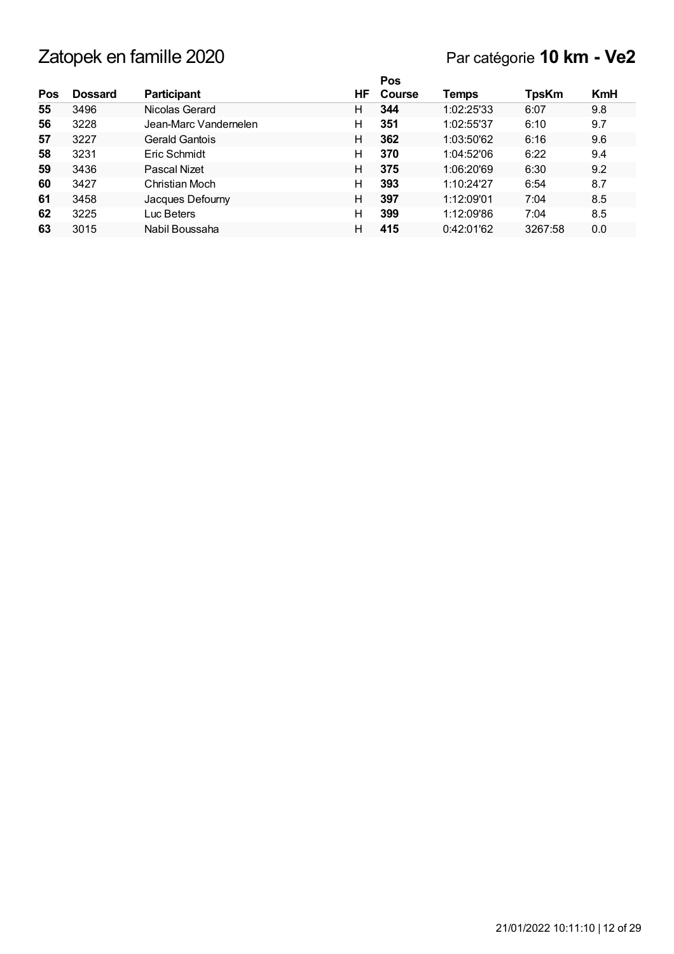## Par catégorie **10 km - Ve2**

|     |                |                       |    | Pos    |            |              |            |
|-----|----------------|-----------------------|----|--------|------------|--------------|------------|
| Pos | <b>Dossard</b> | <b>Participant</b>    | ΗF | Course | Temps      | <b>TpsKm</b> | <b>KmH</b> |
| 55  | 3496           | Nicolas Gerard        | н  | 344    | 1:02:25'33 | 6:07         | 9.8        |
| 56  | 3228           | Jean-Marc Vandernelen | н  | 351    | 1:02:55'37 | 6:10         | 9.7        |
| 57  | 3227           | Gerald Gantois        | н  | 362    | 1:03:50'62 | 6:16         | 9.6        |
| 58  | 3231           | Eric Schmidt          | н  | 370    | 1:04:52'06 | 6:22         | 9.4        |
| 59  | 3436           | Pascal Nizet          | н  | 375    | 1:06:20'69 | 6:30         | 9.2        |
| 60  | 3427           | Christian Moch        | н  | 393    | 1:10:24'27 | 6:54         | 8.7        |
| 61  | 3458           | Jacques Defourny      | н  | 397    | 1:12:09'01 | 7:04         | 8.5        |
| 62  | 3225           | Luc Beters            | н  | 399    | 1:12:09'86 | 7:04         | 8.5        |
| 63  | 3015           | Nabil Boussaha        | н  | 415    | 0:42:01'62 | 3267:58      | 0.0        |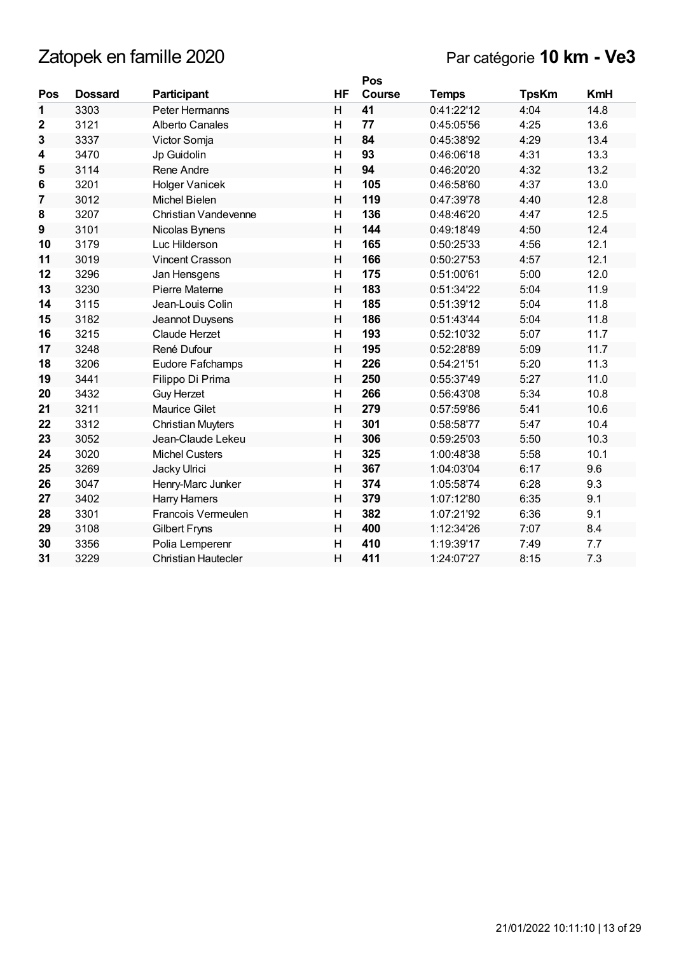|             |                |                          |                         | Pos           |              |              |            |
|-------------|----------------|--------------------------|-------------------------|---------------|--------------|--------------|------------|
| Pos         | <b>Dossard</b> | <b>Participant</b>       | HF                      | <b>Course</b> | <b>Temps</b> | <b>TpsKm</b> | <b>KmH</b> |
| 1           | 3303           | Peter Hermanns           | H                       | 41            | 0:41:22'12   | 4:04         | 14.8       |
| $\mathbf 2$ | 3121           | Alberto Canales          | $\overline{H}$          | 77            | 0:45:05'56   | 4:25         | 13.6       |
| 3           | 3337           | Victor Somja             | $\overline{H}$          | 84            | 0:45:38'92   | 4:29         | 13.4       |
| 4           | 3470           | Jp Guidolin              | H                       | 93            | 0:46:06'18   | 4:31         | 13.3       |
| 5           | 3114           | Rene Andre               | $\overline{\mathsf{H}}$ | 94            | 0:46:20'20   | 4:32         | 13.2       |
| 6           | 3201           | <b>Holger Vanicek</b>    | H                       | 105           | 0:46:58'60   | 4:37         | 13.0       |
| 7           | 3012           | <b>Michel Bielen</b>     | $\overline{H}$          | 119           | 0:47:39'78   | 4:40         | 12.8       |
| 8           | 3207           | Christian Vandevenne     | $\overline{\mathsf{H}}$ | 136           | 0:48:46'20   | 4:47         | 12.5       |
| 9           | 3101           | Nicolas Bynens           | H                       | 144           | 0:49:18'49   | 4:50         | 12.4       |
| 10          | 3179           | Luc Hilderson            | H                       | 165           | 0:50:25'33   | 4:56         | 12.1       |
| 11          | 3019           | <b>Vincent Crasson</b>   | $\overline{H}$          | 166           | 0:50:27'53   | 4:57         | 12.1       |
| 12          | 3296           | Jan Hensgens             | H                       | 175           | 0:51:00'61   | 5:00         | 12.0       |
| 13          | 3230           | <b>Pierre Materne</b>    | $\overline{\mathsf{H}}$ | 183           | 0:51:34'22   | 5:04         | 11.9       |
| 14          | 3115           | Jean-Louis Colin         | $\overline{H}$          | 185           | 0:51:39'12   | 5:04         | 11.8       |
| 15          | 3182           | Jeannot Duysens          | H                       | 186           | 0:51:43'44   | 5:04         | 11.8       |
| 16          | 3215           | <b>Claude Herzet</b>     | $\mathsf{H}$            | 193           | 0:52:10'32   | 5:07         | 11.7       |
| 17          | 3248           | René Dufour              | $\overline{H}$          | 195           | 0:52:28'89   | 5:09         | 11.7       |
| 18          | 3206           | Eudore Fafchamps         | H                       | 226           | 0:54:21'51   | 5:20         | 11.3       |
| 19          | 3441           | Filippo Di Prima         | H                       | 250           | 0:55:37'49   | 5:27         | 11.0       |
| 20          | 3432           | <b>Guy Herzet</b>        | H                       | 266           | 0:56:43'08   | 5:34         | 10.8       |
| 21          | 3211           | <b>Maurice Gilet</b>     | $\overline{H}$          | 279           | 0:57:59'86   | 5:41         | 10.6       |
| 22          | 3312           | <b>Christian Muyters</b> | $\overline{\mathsf{H}}$ | 301           | 0:58:58'77   | 5:47         | 10.4       |
| 23          | 3052           | Jean-Claude Lekeu        | H                       | 306           | 0:59:25'03   | 5:50         | 10.3       |
| 24          | 3020           | <b>Michel Custers</b>    | $\overline{H}$          | 325           | 1:00:48'38   | 5:58         | 10.1       |
| 25          | 3269           | Jacky Ulrici             | $\mathsf{H}$            | 367           | 1:04:03'04   | 6:17         | 9.6        |
| 26          | 3047           | Henry-Marc Junker        | H                       | 374           | 1:05:58'74   | 6:28         | 9.3        |
| 27          | 3402           | <b>Harry Hamers</b>      | $\overline{H}$          | 379           | 1:07:12'80   | 6:35         | 9.1        |
| 28          | 3301           | Francois Vermeulen       | $\mathsf{H}$            | 382           | 1:07:21'92   | 6:36         | 9.1        |
| 29          | 3108           | <b>Gilbert Fryns</b>     | H                       | 400           | 1:12:34'26   | 7:07         | 8.4        |
| 30          | 3356           | Polia Lemperenr          | H                       | 410           | 1:19:39'17   | 7:49         | 7.7        |
| 31          | 3229           | Christian Hautecler      | $\overline{H}$          | 411           | 1:24:07'27   | 8:15         | 7.3        |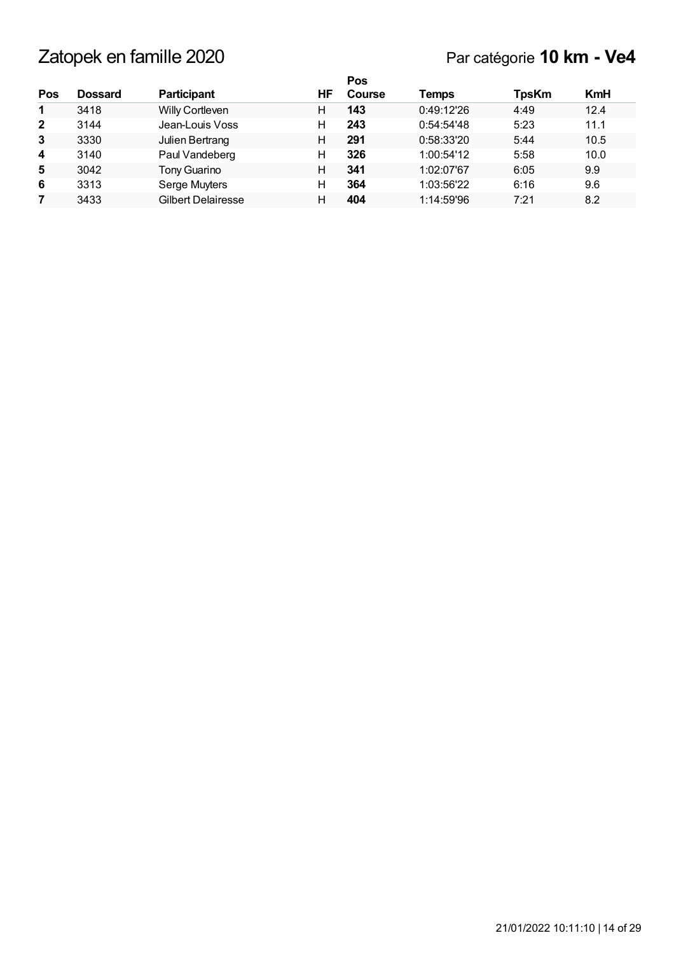|                |         |                           |    | <b>Pos</b> |            |              |            |
|----------------|---------|---------------------------|----|------------|------------|--------------|------------|
| Pos            | Dossard | <b>Participant</b>        | ΗF | Course     | Temps      | <b>TpsKm</b> | <b>KmH</b> |
| $\mathbf{1}$   | 3418    | Willy Cortleven           | н  | 143        | 0:49:12'26 | 4:49         | 12.4       |
| $\overline{2}$ | 3144    | Jean-Louis Voss           | н  | 243        | 0:54:54'48 | 5:23         | 11.1       |
| 3              | 3330    | Julien Bertrang           | н  | 291        | 0:58:33'20 | 5:44         | 10.5       |
| 4              | 3140    | Paul Vandeberg            | н  | 326        | 1:00:54'12 | 5:58         | 10.0       |
| 5              | 3042    | Tony Guarino              | н  | 341        | 1:02:07'67 | 6:05         | 9.9        |
| 6              | 3313    | Serge Muyters             | н  | 364        | 1:03:56'22 | 6:16         | 9.6        |
|                | 3433    | <b>Gilbert Delairesse</b> | н  | 404        | 1:14:59'96 | 7:21         | 8.2        |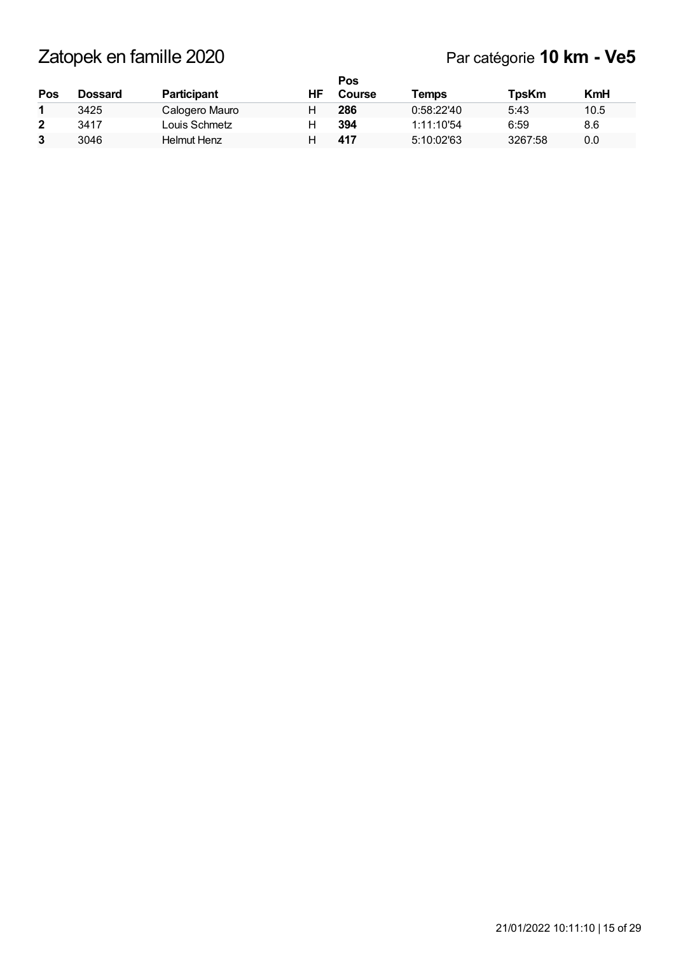|              |         |                    |    | Pos           |            |              |      |
|--------------|---------|--------------------|----|---------------|------------|--------------|------|
| Pos          | Dossard | <b>Participant</b> | ΗF | <b>Course</b> | Temps      | <b>TpsKm</b> | KmH  |
|              | 3425    | Calogero Mauro     |    | 286           | 0:58:22'40 | 5:43         | 10.5 |
| $\mathbf{2}$ | 3417    | Louis Schmetz      |    | 394           | 1:11:10'54 | 6:59         | 8.6  |
| 3            | 3046    | Helmut Henz        |    | 417           | 5:10:02'63 | 3267:58      | 0.0  |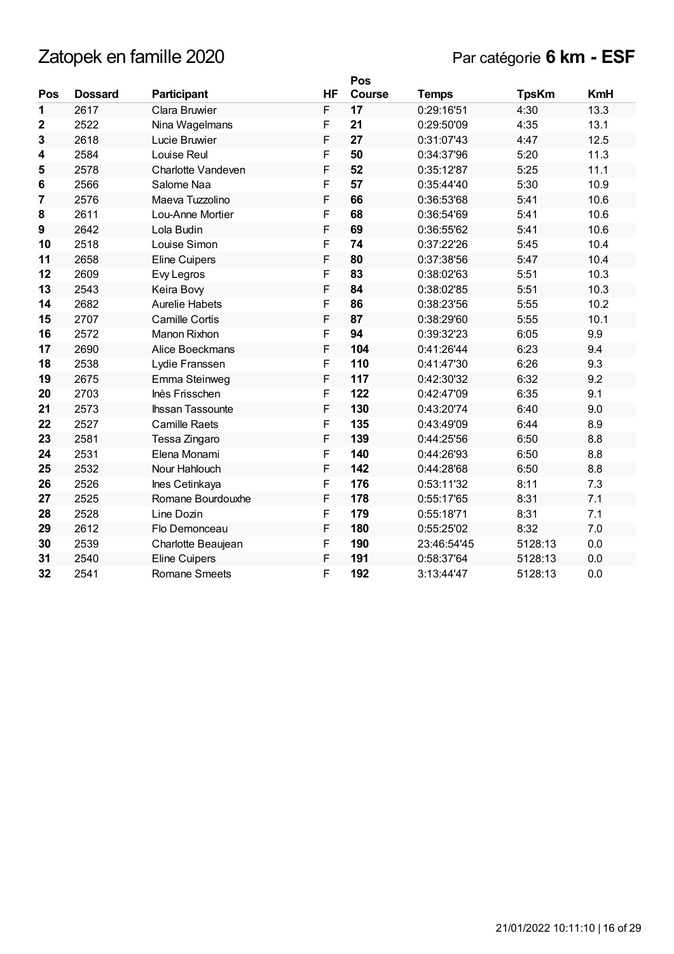|                |                |                         |    | Pos           |              |              |            |
|----------------|----------------|-------------------------|----|---------------|--------------|--------------|------------|
| Pos            | <b>Dossard</b> | Participant             | HF | <b>Course</b> | <b>Temps</b> | <b>TpsKm</b> | <b>KmH</b> |
| 1              | 2617           | Clara Bruwier           | F  | 17            | 0:29:16'51   | 4:30         | 13.3       |
| $\mathbf{2}$   | 2522           | Nina Wagelmans          | F  | 21            | 0:29:50'09   | 4:35         | 13.1       |
| 3              | 2618           | Lucie Bruwier           | F  | 27            | 0:31:07'43   | 4:47         | 12.5       |
| 4              | 2584           | Louise Reul             | F  | 50            | 0:34:37'96   | 5:20         | 11.3       |
| 5              | 2578           | Charlotte Vandeven      | F  | 52            | 0:35:12'87   | 5:25         | 11.1       |
| 6              | 2566           | Salome Naa              | F  | 57            | 0:35:44'40   | 5:30         | 10.9       |
| $\overline{7}$ | 2576           | Maeva Tuzzolino         | F  | 66            | 0:36:53'68   | 5:41         | 10.6       |
| 8              | 2611           | Lou-Anne Mortier        | F  | 68            | 0:36:54'69   | 5:41         | 10.6       |
| 9              | 2642           | Lola Budin              | F  | 69            | 0:36:55'62   | 5:41         | 10.6       |
| 10             | 2518           | Louise Simon            | F  | 74            | 0:37:22'26   | 5:45         | 10.4       |
| 11             | 2658           | Eline Cuipers           | F  | 80            | 0:37:38'56   | 5:47         | 10.4       |
| 12             | 2609           | Evy Legros              | F  | 83            | 0:38:02'63   | 5:51         | 10.3       |
| 13             | 2543           | Keira Bovy              | F  | 84            | 0:38:02'85   | 5:51         | 10.3       |
| 14             | 2682           | <b>Aurelie Habets</b>   | F  | 86            | 0:38:23'56   | 5:55         | 10.2       |
| 15             | 2707           | <b>Camille Cortis</b>   | F  | 87            | 0:38:29'60   | 5:55         | 10.1       |
| 16             | 2572           | Manon Rixhon            | F  | 94            | 0:39:32'23   | 6:05         | 9.9        |
| 17             | 2690           | Alice Boeckmans         | F  | 104           | 0:41:26'44   | 6:23         | 9.4        |
| 18             | 2538           | Lydie Franssen          | F  | 110           | 0:41:47'30   | 6:26         | 9.3        |
| 19             | 2675           | Emma Steinweg           | F  | 117           | 0:42:30'32   | 6:32         | 9.2        |
| 20             | 2703           | Inès Frisschen          | F  | 122           | 0:42:47'09   | 6:35         | 9.1        |
| 21             | 2573           | <b>Ihssan Tassounte</b> | F  | 130           | 0:43:20'74   | 6:40         | 9.0        |
| 22             | 2527           | <b>Camille Raets</b>    | F  | 135           | 0:43:49'09   | 6:44         | 8.9        |
| 23             | 2581           | Tessa Zingaro           | F  | 139           | 0:44:25'56   | 6:50         | 8.8        |
| 24             | 2531           | Elena Monami            | F  | 140           | 0:44:26'93   | 6:50         | 8.8        |
| 25             | 2532           | Nour Hahlouch           | F  | 142           | 0:44:28'68   | 6:50         | 8.8        |
| 26             | 2526           | Ines Cetinkaya          | F  | 176           | 0:53:11'32   | 8:11         | 7.3        |
| 27             | 2525           | Romane Bourdouxhe       | F  | 178           | 0:55:17'65   | 8:31         | 7.1        |
| 28             | 2528           | Line Dozin              | F  | 179           | 0:55:18'71   | 8:31         | 7.1        |
| 29             | 2612           | Flo Demonceau           | F  | 180           | 0:55:25'02   | 8:32         | 7.0        |
| 30             | 2539           | Charlotte Beaujean      | F  | 190           | 23:46:54'45  | 5128:13      | 0.0        |
| 31             | 2540           | <b>Eline Cuipers</b>    | F  | 191           | 0:58:37'64   | 5128:13      | 0.0        |
| 32             | 2541           | <b>Romane Smeets</b>    | F  | 192           | 3:13:44'47   | 5128:13      | 0.0        |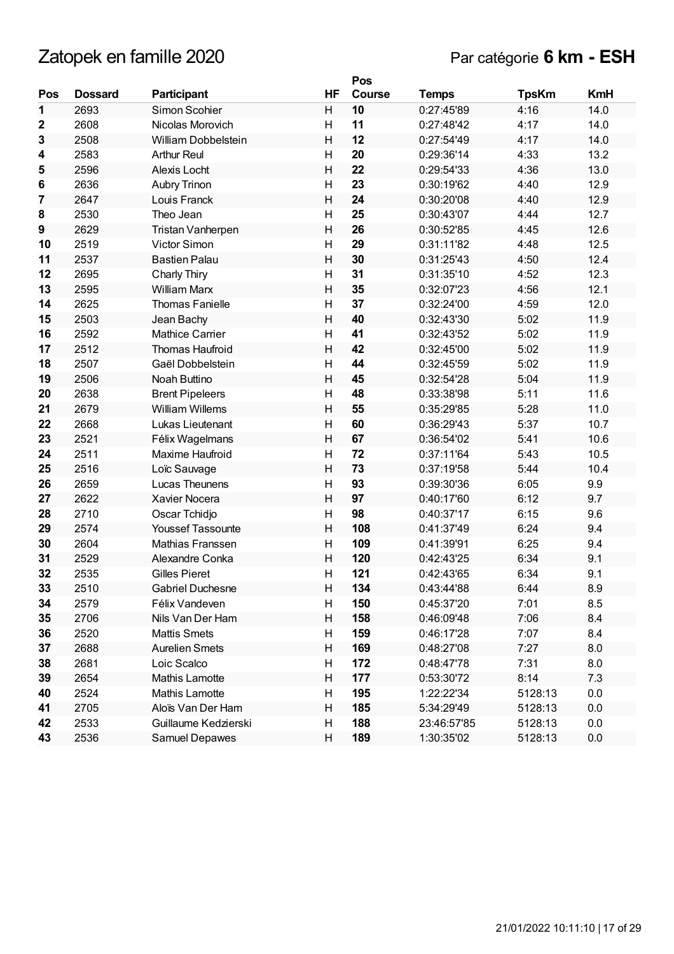|                 |                |                          |                | Pos           |              |              |            |
|-----------------|----------------|--------------------------|----------------|---------------|--------------|--------------|------------|
| Pos             | <b>Dossard</b> | Participant              | HF             | <b>Course</b> | <b>Temps</b> | <b>TpsKm</b> | <b>KmH</b> |
| 1               | 2693           | Simon Scohier            | H              | 10            | 0:27:45'89   | 4:16         | 14.0       |
| $\mathbf{2}$    | 2608           | Nicolas Morovich         | H              | 11            | 0:27:48'42   | 4:17         | 14.0       |
| 3               | 2508           | William Dobbelstein      | H              | 12            | 0:27:54'49   | 4:17         | 14.0       |
| 4               | 2583           | <b>Arthur Reul</b>       | H              | 20            | 0:29:36'14   | 4:33         | 13.2       |
| 5               | 2596           | Alexis Locht             | H              | 22            | 0:29:54'33   | 4:36         | 13.0       |
| $6\phantom{1}6$ | 2636           | Aubry Trinon             | H              | 23            | 0:30:19'62   | 4:40         | 12.9       |
| 7               | 2647           | Louis Franck             | H              | 24            | 0:30:20'08   | 4:40         | 12.9       |
| 8               | 2530           | Theo Jean                | $\mathsf{H}$   | 25            | 0:30:43'07   | 4:44         | 12.7       |
| 9               | 2629           | Tristan Vanherpen        | $\overline{H}$ | 26            | 0:30:52'85   | 4:45         | 12.6       |
| 10              | 2519           | Victor Simon             | H              | 29            | 0:31:11'82   | 4:48         | 12.5       |
| 11              | 2537           | <b>Bastien Palau</b>     | H              | 30            | 0:31:25'43   | 4:50         | 12.4       |
| 12              | 2695           | Charly Thiry             | H              | 31            | 0:31:35'10   | 4:52         | 12.3       |
| 13              | 2595           | <b>William Marx</b>      | $\overline{H}$ | 35            | 0:32:07'23   | 4:56         | 12.1       |
| 14              | 2625           | <b>Thomas Fanielle</b>   | H              | 37            | 0:32:24'00   | 4:59         | 12.0       |
| 15              | 2503           | Jean Bachy               | H              | 40            | 0:32:43'30   | 5:02         | 11.9       |
| 16              | 2592           | <b>Mathice Carrier</b>   | H              | 41            | 0:32:43'52   | 5:02         | 11.9       |
| 17              | 2512           | <b>Thomas Haufroid</b>   | H              | 42            | 0:32:45'00   | 5:02         | 11.9       |
| 18              | 2507           | Gaël Dobbelstein         | $\overline{H}$ | 44            | 0:32:45'59   | 5:02         | 11.9       |
| 19              | 2506           | Noah Buttino             | H              | 45            | 0:32:54'28   | 5:04         | 11.9       |
| 20              | 2638           | <b>Brent Pipeleers</b>   | H              | 48            | 0:33:38'98   | 5:11         | 11.6       |
| 21              | 2679           | <b>William Willems</b>   | H              | 55            | 0:35:29'85   | 5:28         | 11.0       |
| 22              | 2668           | Lukas Lieutenant         | H              | 60            | 0:36:29'43   | 5:37         | 10.7       |
| 23              | 2521           | Félix Wagelmans          | H              | 67            | 0:36:54'02   | 5:41         | 10.6       |
| 24              | 2511           | Maxime Haufroid          | H              | 72            | 0:37:11'64   | 5:43         | 10.5       |
| 25              | 2516           | Loïc Sauvage             | H              | 73            | 0:37:19'58   | 5:44         | 10.4       |
| 26              | 2659           | Lucas Theunens           | H              | 93            | 0:39:30'36   | 6:05         | 9.9        |
| 27              | 2622           | Xavier Nocera            | H              | 97            | 0:40:17'60   | 6:12         | 9.7        |
| 28              | 2710           | Oscar Tchidjo            | $\mathsf{H}$   | 98            | 0:40:37'17   | 6:15         | 9.6        |
| 29              | 2574           | <b>Youssef Tassounte</b> | H              | 108           | 0:41:37'49   | 6:24         | 9.4        |
| 30              | 2604           | Mathias Franssen         | H              | 109           | 0:41:39'91   | 6:25         | 9.4        |
| 31              | 2529           | Alexandre Conka          | H              | 120           | 0:42:43'25   | 6:34         | 9.1        |
| 32              | 2535           | <b>Gilles Pieret</b>     | H              | 121           | 0:42:43'65   | 6:34         | 9.1        |
| 33              | 2510           | Gabriel Duchesne         | H              | 134           | 0:43:44'88   | 6:44         | 8.9        |
| 34              | 2579           | Félix Vandeven           | H              | 150           | 0:45:37'20   | 7:01         | 8.5        |
| 35              | 2706           | Nils Van Der Ham         | H              | 158           | 0:46:09'48   | 7:06         | 8.4        |
| 36              | 2520           | <b>Mattis Smets</b>      | H              | 159           | 0:46:17'28   | 7:07         | 8.4        |
| 37              | 2688           | <b>Aurelien Smets</b>    | H              | 169           | 0:48:27'08   | 7:27         | 8.0        |
| 38              | 2681           | Loic Scalco              | Н              | 172           | 0:48:47'78   | 7:31         | 8.0        |
| 39              | 2654           | Mathis Lamotte           | H              | 177           | 0:53:30'72   | 8:14         | 7.3        |
| 40              | 2524           | Mathis Lamotte           | H              | 195           | 1:22:22'34   | 5128:13      | 0.0        |
| 41              | 2705           | Aloïs Van Der Ham        | H              | 185           | 5:34:29'49   | 5128:13      | 0.0        |
| 42              | 2533           | Guillaume Kedzierski     | H              | 188           | 23:46:57'85  | 5128:13      | 0.0        |
| 43              | 2536           | Samuel Depawes           | H              | 189           | 1:30:35'02   | 5128:13      | 0.0        |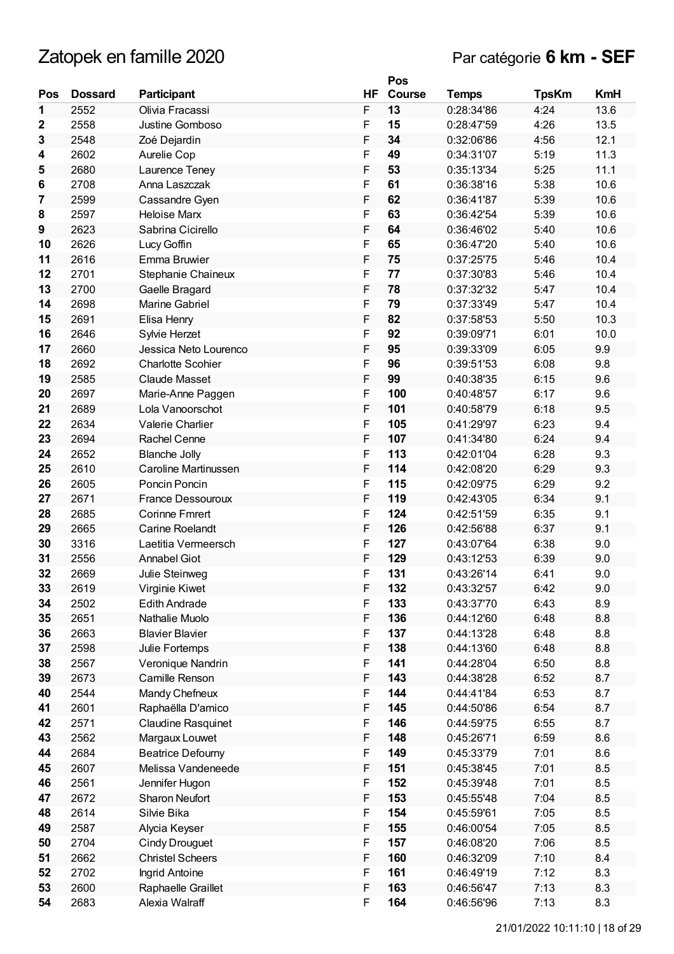|     |                |                          |    | Pos    |              |              |            |
|-----|----------------|--------------------------|----|--------|--------------|--------------|------------|
| Pos | <b>Dossard</b> | Participant              | ΗF | Course | <b>Temps</b> | <b>TpsKm</b> | <b>KmH</b> |
| 1   | 2552           | Olivia Fracassi          | F  | 13     | 0:28:34'86   | 4:24         | 13.6       |
| 2   | 2558           | Justine Gomboso          | F  | 15     | 0:28:47'59   | 4.26         | 13.5       |
| 3   | 2548           | Zoé Dejardin             | F  | 34     | 0:32:06'86   | 4:56         | 12.1       |
| 4   | 2602           | Aurelie Cop              | F  | 49     | 0:34:31'07   | 5:19         | 11.3       |
| 5   | 2680           | Laurence Teney           | F  | 53     | 0:35:13'34   | 5:25         | 11.1       |
| 6   | 2708           | Anna Laszczak            | F  | 61     | 0:36:38'16   | 5:38         | 10.6       |
| 7   | 2599           |                          | F  | 62     | 0:36:41'87   | 5:39         | 10.6       |
|     |                | Cassandre Gyen           |    |        |              |              |            |
| 8   | 2597           | <b>Heloise Marx</b>      | F  | 63     | 0:36:42'54   | 5:39         | 10.6       |
| 9   | 2623           | Sabrina Cicirello        | F  | 64     | 0:36:46'02   | 5:40         | 10.6       |
| 10  | 2626           | Lucy Goffin              | F  | 65     | 0:36:47'20   | 5:40         | 10.6       |
| 11  | 2616           | Emma Bruwier             | F  | 75     | 0:37:25'75   | 5:46         | 10.4       |
| 12  | 2701           | Stephanie Chaineux       | F  | 77     | 0:37:30'83   | 5:46         | 10.4       |
| 13  | 2700           | Gaelle Bragard           | F  | 78     | 0:37:32'32   | 5:47         | 10.4       |
| 14  | 2698           | Marine Gabriel           | F  | 79     | 0:37:33'49   | 5:47         | 10.4       |
| 15  | 2691           | Elisa Henry              | F  | 82     | 0:37:58'53   | 5:50         | 10.3       |
| 16  | 2646           | Sylvie Herzet            | F  | 92     | 0:39:09'71   | 6:01         | 10.0       |
| 17  | 2660           | Jessica Neto Lourenco    | F  | 95     | 0:39:33'09   | 6:05         | 9.9        |
| 18  | 2692           | <b>Charlotte Scohier</b> | F  | 96     | 0:39:51'53   | 6:08         | 9.8        |
| 19  | 2585           | <b>Claude Masset</b>     | F  | 99     | 0:40:38'35   | 6:15         | 9.6        |
| 20  | 2697           | Marie-Anne Paggen        | F  | 100    | 0:40:48'57   | 6:17         | 9.6        |
| 21  | 2689           | Lola Vanoorschot         | F  | 101    | 0:40:58'79   | 6:18         | 9.5        |
| 22  | 2634           | Valerie Charlier         | F  | 105    | 0:41:29'97   | 6:23         | 9.4        |
| 23  | 2694           | <b>Rachel Cenne</b>      | F  | 107    | 0:41:34'80   | 6:24         | 9.4        |
| 24  | 2652           | <b>Blanche Jolly</b>     | F  | 113    | 0:42:01'04   | 6:28         | 9.3        |
| 25  | 2610           | Caroline Martinussen     | F  | 114    | 0:42:08'20   | 6:29         | 9.3        |
| 26  | 2605           | Poncin Poncin            | F  | 115    | 0:42:09'75   | 6:29         | 9.2        |
| 27  | 2671           | <b>France Dessouroux</b> | F  | 119    | 0:42:43'05   | 6:34         | 9.1        |
| 28  | 2685           | <b>Corinne Fmrert</b>    | F  | 124    | 0:42:51'59   | 6:35         | 9.1        |
| 29  | 2665           | Carine Roelandt          | F  | 126    | 0:42:56'88   | 6:37         | 9.1        |
| 30  | 3316           | Laetitia Vermeersch      | F  | 127    | 0:43:07'64   | 6:38         | 9.0        |
| 31  | 2556           | <b>Annabel Giot</b>      | F  | 129    | 0:43:12'53   | 6:39         | 9.0        |
| 32  | 2669           |                          | F  | 131    | 0:43:26'14   | 6:41         | 9.0        |
|     |                | Julie Steinweg           |    |        |              | 6:42         |            |
| 33  | 2619           | Virginie Kiwet           | F  | 132    | 0:43:32'57   |              | 9.0        |
| 34  | 2502           | <b>Edith Andrade</b>     | F  | 133    | 0:43:37'70   | 6:43         | 8.9        |
| 35  | 2651           | Nathalie Muolo           | F  | 136    | 0:44:12'60   | 6:48         | 8.8        |
| 36  | 2663           | <b>Blavier Blavier</b>   | F  | 137    | 0:44:13'28   | 6:48         | 8.8        |
| 37  | 2598           | Julie Fortemps           | F  | 138    | 0:44:13'60   | 6:48         | 8.8        |
| 38  | 2567           | Veronique Nandrin        | F  | 141    | 0:44:28'04   | 6:50         | 8.8        |
| 39  | 2673           | Camille Renson           | F  | 143    | 0:44:38'28   | 6:52         | 8.7        |
| 40  | 2544           | Mandy Chefneux           | F  | 144    | 0:44:41'84   | 6:53         | 8.7        |
| 41  | 2601           | Raphaëlla D'amico        | F  | 145    | 0:44:50'86   | 6:54         | 8.7        |
| 42  | 2571           | Claudine Rasquinet       | F  | 146    | 0:44:59'75   | 6:55         | 8.7        |
| 43  | 2562           | Margaux Louwet           | F  | 148    | 0:45:26'71   | 6:59         | 8.6        |
| 44  | 2684           | <b>Beatrice Defourny</b> | F  | 149    | 0:45:33'79   | 7:01         | 8.6        |
| 45  | 2607           | Melissa Vandeneede       | F  | 151    | 0:45:38'45   | 7:01         | 8.5        |
| 46  | 2561           | Jennifer Hugon           | F  | 152    | 0:45:39'48   | 7:01         | 8.5        |
| 47  | 2672           | Sharon Neufort           | F  | 153    | 0:45:55'48   | 7:04         | 8.5        |
| 48  | 2614           | Silvie Bika              | F  | 154    | 0:45:59'61   | 7:05         | 8.5        |
| 49  | 2587           | Alycia Keyser            | F  | 155    | 0:46:00'54   | 7:05         | 8.5        |
| 50  | 2704           | <b>Cindy Drouguet</b>    | F  | 157    | 0:46:08'20   | 7:06         | 8.5        |
| 51  | 2662           | <b>Christel Scheers</b>  | F  | 160    | 0:46:32'09   | 7:10         | 8.4        |
| 52  | 2702           | Ingrid Antoine           | F  | 161    | 0:46:49'19   | 7:12         | 8.3        |
| 53  | 2600           | Raphaelle Graillet       | F  | 163    | 0:46:56'47   | 7:13         | 8.3        |
| 54  | 2683           | Alexia Walraff           | F  | 164    | 0:46:56'96   | 7:13         | 8.3        |
|     |                |                          |    |        |              |              |            |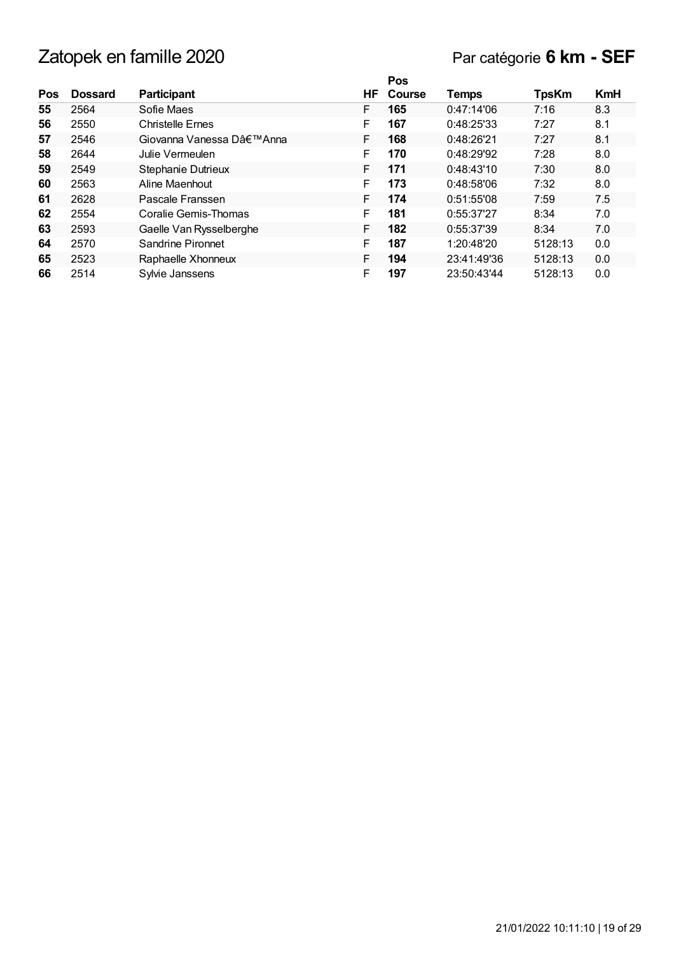## Par catégorie **6 km - SEF**

|     |                |                         |   | Pos              |             |              |            |
|-----|----------------|-------------------------|---|------------------|-------------|--------------|------------|
| Pos | <b>Dossard</b> | <b>Participant</b>      |   | <b>HF</b> Course | Temps       | <b>TpsKm</b> | <b>KmH</b> |
| 55  | 2564           | Sofie Maes              | F | 165              | 0:47:14'06  | 7:16         | 8.3        |
| 56  | 2550           | <b>Christelle Ernes</b> | F | 167              | 0:48:25'33  | 7:27         | 8.1        |
| 57  | 2546           | Giovanna Vanessa D'Anna | F | 168              | 0:48:26'21  | 7:27         | 8.1        |
| 58  | 2644           | Julie Vermeulen         | F | 170              | 0:48:29'92  | 7:28         | 8.0        |
| 59  | 2549           | Stephanie Dutrieux      | F | 171              | 0:48:43'10  | 7:30         | 8.0        |
| 60  | 2563           | Aline Maenhout          | F | 173              | 0:48:58'06  | 7:32         | 8.0        |
| 61  | 2628           | Pascale Franssen        | F | 174              | 0:51:55'08  | 7:59         | 7.5        |
| 62  | 2554           | Coralie Gemis-Thomas    | F | 181              | 0:55:37'27  | 8:34         | 7.0        |
| 63  | 2593           | Gaelle Van Rysselberghe | F | 182              | 0:55:37'39  | 8:34         | 7.0        |
| 64  | 2570           | Sandrine Pironnet       | F | 187              | 1:20:48'20  | 5128:13      | 0.0        |
| 65  | 2523           | Raphaelle Xhonneux      | F | 194              | 23:41:49'36 | 5128:13      | 0.0        |
| 66  | 2514           | Sylvie Janssens         | F | 197              | 23:50:43'44 | 5128:13      | 0.0        |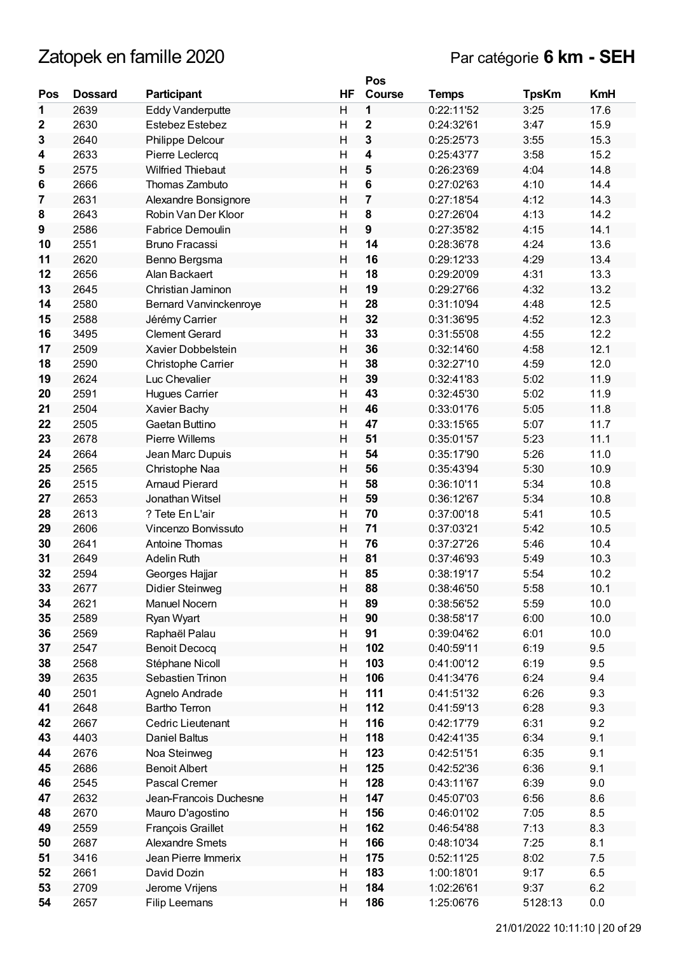|             |                |                          |                         | Pos                     |              |              |            |
|-------------|----------------|--------------------------|-------------------------|-------------------------|--------------|--------------|------------|
| Pos         | <b>Dossard</b> | Participant              | ΗF                      | <b>Course</b>           | <b>Temps</b> | <b>TpsKm</b> | <b>KmH</b> |
| 1           | 2639           | <b>Eddy Vanderputte</b>  | H                       | 1                       | 0:22:11'52   | 3:25         | 17.6       |
| $\mathbf 2$ | 2630           | Estebez Estebez          | H                       | $\mathbf{2}$            | 0:24:32'61   | 3:47         | 15.9       |
| 3           | 2640           | Philippe Delcour         | $\overline{H}$          | $\mathbf{3}$            | 0:25:25'73   | 3:55         | 15.3       |
| 4           | 2633           | Pierre Leclercq          | H                       | $\overline{\mathbf{4}}$ | 0:25:43'77   | 3:58         | 15.2       |
| 5           | 2575           | <b>Wilfried Thiebaut</b> | Η                       | 5                       | 0:26:23'69   | 4:04         | 14.8       |
| 6           | 2666           | Thomas Zambuto           | H                       | 6                       | 0:27:02'63   | 4:10         | 14.4       |
| 7           | 2631           | Alexandre Bonsignore     | Н                       | $\overline{\mathbf{r}}$ | 0:27:18'54   | 4:12         | 14.3       |
| 8           | 2643           | Robin Van Der Kloor      | H                       | 8                       | 0:27:26'04   | 4:13         | 14.2       |
| 9           | 2586           | <b>Fabrice Demoulin</b>  | H                       | $\boldsymbol{9}$        | 0:27:35'82   | 4:15         | 14.1       |
| 10          | 2551           | <b>Bruno Fracassi</b>    | H                       | 14                      | 0:28:36'78   | 4:24         | 13.6       |
| 11          | 2620           | Benno Bergsma            | Η                       | 16                      | 0:29:12'33   | 4:29         | 13.4       |
| 12          | 2656           | Alan Backaert            | H                       | 18                      | 0:29:20'09   | 4:31         | 13.3       |
| 13          | 2645           | Christian Jaminon        | H                       | 19                      | 0:29:27'66   | 4:32         | 13.2       |
| 14          | 2580           | Bernard Vanvinckenroye   | H                       | 28                      | 0:31:10'94   | 4:48         | 12.5       |
| 15          | 2588           | Jérémy Carrier           | Η                       | 32                      | 0:31:36'95   | 4:52         | 12.3       |
| 16          | 3495           | <b>Clement Gerard</b>    | H                       | 33                      | 0:31:55'08   | 4:55         | 12.2       |
| 17          | 2509           | Xavier Dobbelstein       | H                       | 36                      | 0:32:14'60   | 4:58         | 12.1       |
| 18          | 2590           | Christophe Carrier       | H                       | 38                      | 0:32:27'10   | 4:59         | 12.0       |
| 19          | 2624           | Luc Chevalier            | Η                       | 39                      | 0:32:41'83   | 5:02         | 11.9       |
| 20          | 2591           | Hugues Carrier           | H                       | 43                      | 0:32:45'30   | 5:02         | 11.9       |
| 21          | 2504           | Xavier Bachy             | Η                       | 46                      | 0:33:01'76   | 5:05         | 11.8       |
| 22          | 2505           | Gaetan Buttino           | H                       | 47                      | 0:33:15'65   | 5:07         | 11.7       |
| 23          | 2678           | <b>Pierre Willems</b>    | H                       | 51                      | 0:35:01'57   | 5:23         | 11.1       |
| 24          | 2664           | Jean Marc Dupuis         | H                       | 54                      | 0:35:17'90   | 5:26         | 11.0       |
| 25          | 2565           | Christophe Naa           | Η                       | 56                      | 0:35:43'94   | 5:30         | 10.9       |
| 26          | 2515           | <b>Arnaud Pierard</b>    | H                       | 58                      | 0:36:10'11   | 5:34         | 10.8       |
| 27          | 2653           | Jonathan Witsel          | H                       | 59                      | 0:36:12'67   | 5:34         | 10.8       |
| 28          | 2613           | ? Tete En L'air          | $\overline{H}$          | 70                      | 0:37:00'18   | 5:41         | 10.5       |
| 29          | 2606           | Vincenzo Bonvissuto      | H                       | 71                      | 0:37:03'21   | 5:42         | 10.5       |
| 30          | 2641           | Antoine Thomas           | H                       | 76                      | 0:37:27'26   | 5:46         | 10.4       |
| 31          | 2649           | <b>Adelin Ruth</b>       | Η                       | 81                      | 0:37:46'93   | 5:49         | 10.3       |
| 32          | 2594           | Georges Hajjar           | H                       | 85                      | 0:38:19'17   | 5:54         | 10.2       |
| 33          | 2677           | Didier Steinweg          | Н                       | 88                      | 0:38:46'50   | 5:58         | 10.1       |
| 34          | 2621           | Manuel Nocern            | H                       | 89                      | 0:38:56'52   | 5:59         | 10.0       |
| 35          | 2589           | Ryan Wyart               | Η                       | 90                      | 0:38:58'17   | 6:00         | 10.0       |
| 36          | 2569           | Raphaël Palau            | H                       | 91                      | 0:39:04'62   | 6:01         | 10.0       |
| 37          | 2547           | <b>Benoit Decocq</b>     | H                       | 102                     | 0:40:59'11   | 6:19         | 9.5        |
| 38          | 2568           | Stéphane Nicoll          | Η                       | 103                     | 0:41:00'12   | 6:19         | 9.5        |
| 39          | 2635           | Sebastien Trinon         | Н                       | 106                     | 0:41:34'76   | 6:24         | 9.4        |
| 40          | 2501           | Agnelo Andrade           | Η                       | 111                     | 0:41:51'32   | 6:26         | 9.3        |
| 41          | 2648           | <b>Bartho Terron</b>     | Н                       | 112                     | 0:41:59'13   | 6:28         | 9.3        |
| 42          | 2667           | Cedric Lieutenant        | Η                       | 116                     | 0:42:17'79   | 6:31         | 9.2        |
| 43          | 4403           | Daniel Baltus            | H                       | 118                     | 0:42:41'35   | 6:34         | 9.1        |
| 44          | 2676           | Noa Steinweg             | $\overline{\mathsf{H}}$ | 123                     | 0:42:51'51   | 6:35         | 9.1        |
| 45          | 2686           | <b>Benoit Albert</b>     | H                       | 125                     | 0:42:52'36   | 6:36         | 9.1        |
| 46          | 2545           | Pascal Cremer            | Η                       | 128                     | 0:43:11'67   | 6:39         | 9.0        |
| 47          | 2632           | Jean-Francois Duchesne   | H                       | 147                     | 0:45:07'03   | 6:56         | 8.6        |
| 48          | 2670           | Mauro D'agostino         | Η                       | 156                     | 0:46:01'02   | 7:05         | 8.5        |
| 49          | 2559           | François Graillet        | Н                       | 162                     | 0:46:54'88   | 7:13         | 8.3        |
| 50          | 2687           | <b>Alexandre Smets</b>   | H                       | 166                     | 0:48:10'34   | 7:25         | 8.1        |
| 51          | 3416           | Jean Pierre Immerix      | Н                       | 175                     | 0:52:11'25   | 8:02         | 7.5        |
| 52          | 2661           | David Dozin              | Η                       | 183                     | 1:00:18'01   | 9:17         | 6.5        |
| 53          | 2709           | Jerome Vrijens           | Н                       | 184                     | 1:02:26'61   | 9:37         | 6.2        |
| 54          | 2657           | Filip Leemans            | $\overline{\mathsf{H}}$ | 186                     | 1:25:06'76   | 5128:13      | 0.0        |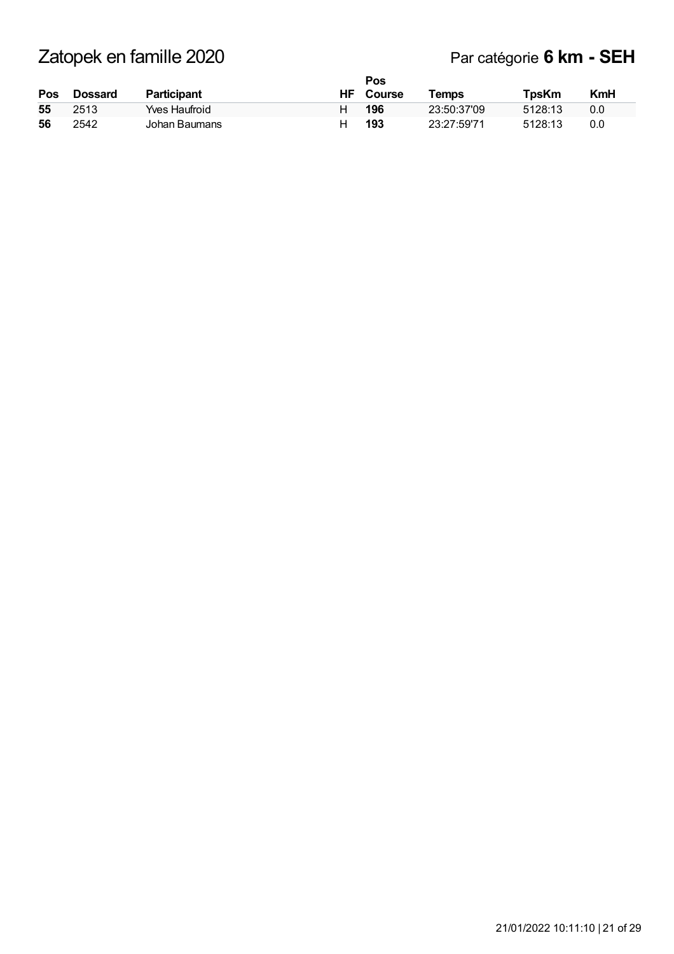### Par catégorie **6 km - SEH**

|     |                |               |   | Pos              |             |              |            |
|-----|----------------|---------------|---|------------------|-------------|--------------|------------|
| Pos | <b>Dossard</b> | Participant   |   | <b>HF</b> Course | Temps       | <b>TpsKm</b> | <b>KmH</b> |
| 55  | 2513           | Yves Haufroid |   | 196              | 23:50:37'09 | 5128:13      | 0.0        |
| 56  | 2542           | Johan Baumans | н | 193              | 23:27:5971  | 5128:13      | 0.0        |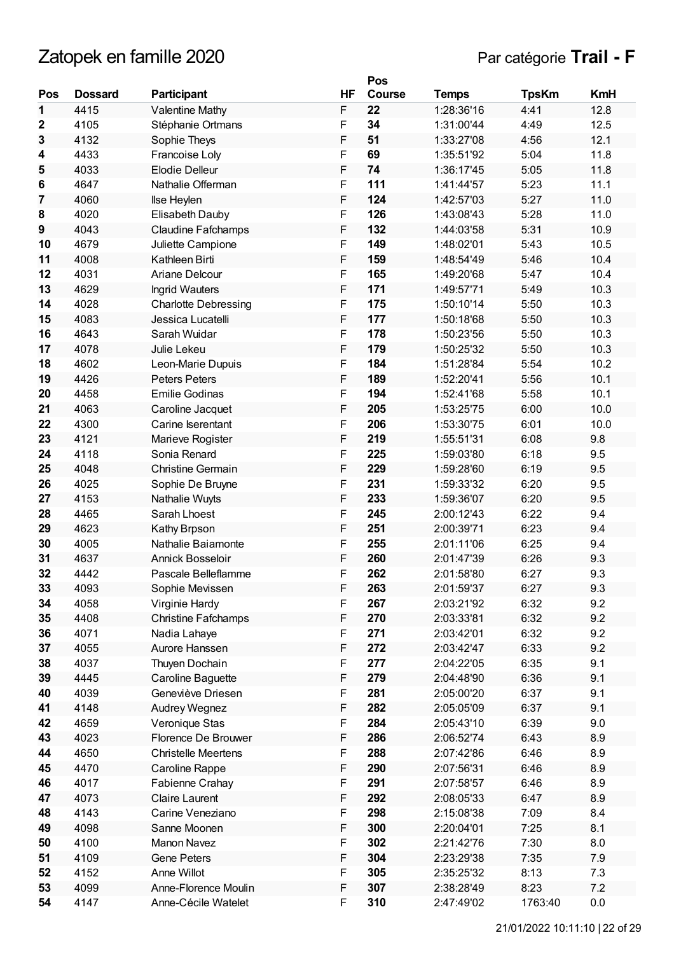# Zatopek en famille 2020 **Par catégorie Trail** - **F**

|              |                |                             |    | Pos    |              |              |            |
|--------------|----------------|-----------------------------|----|--------|--------------|--------------|------------|
| Pos          | <b>Dossard</b> | Participant                 | HF | Course | <b>Temps</b> | <b>TpsKm</b> | <b>KmH</b> |
| 1            | 4415           | Valentine Mathy             | F  | 22     | 1:28:36'16   | 4:41         | 12.8       |
| $\mathbf{2}$ | 4105           | Stéphanie Ortmans           | F  | 34     | 1:31:00'44   | 4:49         | 12.5       |
| 3            | 4132           | Sophie Theys                | F  | 51     | 1:33:27'08   | 4:56         | 12.1       |
| 4            | 4433           | Francoise Loly              | F  | 69     | 1:35:51'92   | 5:04         | 11.8       |
| 5            | 4033           | <b>Elodie Delleur</b>       | F  | 74     | 1:36:17'45   | 5:05         | 11.8       |
| 6            | 4647           | Nathalie Offerman           | F  | 111    | 1:41:44'57   | 5:23         | 11.1       |
| 7            | 4060           | <b>Ilse Heylen</b>          | F  | 124    | 1:42:57'03   | 5:27         | 11.0       |
| 8            | 4020           | Elisabeth Dauby             | F  | 126    | 1:43:08'43   | 5:28         | 11.0       |
| 9            | 4043           | <b>Claudine Fafchamps</b>   | F  | 132    | 1:44:03'58   | 5:31         | 10.9       |
| 10           | 4679           | Juliette Campione           | F  | 149    | 1:48:02'01   | 5:43         | 10.5       |
| 11           | 4008           | Kathleen Birti              | F  | 159    | 1:48:54'49   | 5:46         | 10.4       |
| 12           | 4031           | Ariane Delcour              | F  | 165    | 1:49:20'68   | 5:47         | 10.4       |
| 13           | 4629           | <b>Ingrid Wauters</b>       | F  | 171    | 1:49:57'71   | 5:49         | 10.3       |
| 14           | 4028           | <b>Charlotte Debressing</b> | F  | 175    | 1:50:10'14   | 5:50         | 10.3       |
| 15           | 4083           | Jessica Lucatelli           | F  | 177    | 1:50:18'68   | 5:50         | 10.3       |
| 16           | 4643           | Sarah Wuidar                | F  | 178    | 1:50:23'56   | 5:50         | 10.3       |
| 17           | 4078           | Julie Lekeu                 | F  | 179    | 1:50:25'32   | 5:50         | 10.3       |
| 18           | 4602           | Leon-Marie Dupuis           | F  | 184    | 1:51:28'84   | 5:54         | 10.2       |
| 19           | 4426           | <b>Peters Peters</b>        | F  | 189    | 1:52:20'41   | 5:56         | 10.1       |
| 20           | 4458           | <b>Emilie Godinas</b>       | F  | 194    | 1:52:41'68   | 5:58         | 10.1       |
| 21           | 4063           | Caroline Jacquet            | F  | 205    | 1:53:25'75   | 6:00         | 10.0       |
| 22           | 4300           | Carine Iserentant           | F  | 206    | 1:53:30'75   | 6:01         | 10.0       |
| 23           | 4121           | Marieve Rogister            | F  | 219    | 1:55:51'31   | 6:08         | 9.8        |
| 24           | 4118           | Sonia Renard                | F  | 225    | 1:59:03'80   | 6:18         | 9.5        |
| 25           | 4048           | <b>Christine Germain</b>    | F  | 229    | 1:59:28'60   | 6:19         | 9.5        |
| 26           | 4025           | Sophie De Bruyne            | F  | 231    | 1:59:33'32   | 6:20         | 9.5        |
| 27           | 4153           | Nathalie Wuyts              | F  | 233    | 1:59:36'07   | 6:20         | 9.5        |
| 28           | 4465           | Sarah Lhoest                | F  | 245    | 2:00:12'43   | 6:22         | 9.4        |
| 29           | 4623           | Kathy Brpson                | F  | 251    | 2:00:39'71   | 6:23         | 9.4        |
| 30           | 4005           | Nathalie Baiamonte          | F  | 255    | 2:01:11'06   | 6:25         | 9.4        |
| 31           | 4637           | <b>Annick Bosseloir</b>     | F  | 260    | 2:01:47'39   | 6:26         | 9.3        |
| 32           | 4442           | Pascale Belleflamme         | F  | 262    | 2:01:58'80   | 6:27         | 9.3        |
| 33           | 4093           | Sophie Mevissen             | F  | 263    | 2:01:59'37   | 6:27         | 9.3        |
| 34           | 4058           | Virginie Hardy              | F  | 267    | 2:03:21'92   | 6:32         | 9.2        |
| 35           | 4408           | <b>Christine Fafchamps</b>  | F  | 270    | 2:03:33'81   | 6:32         | 9.2        |
| 36           | 4071           | Nadia Lahaye                | F  | 271    | 2:03:42'01   | 6:32         | 9.2        |
| 37           | 4055           | Aurore Hanssen              | F  | 272    | 2:03:42'47   | 6:33         | 9.2        |
| 38           | 4037           | Thuyen Dochain              | F  | 277    | 2:04:22'05   | 6:35         | 9.1        |
| 39           | 4445           | Caroline Baguette           | F  | 279    | 2:04:48'90   | 6:36         | 9.1        |
| 40           | 4039           | Geneviève Driesen           | F  | 281    | 2:05:00'20   | 6:37         | 9.1        |
| 41           | 4148           | Audrey Wegnez               | F  | 282    | 2:05:05'09   | 6:37         | 9.1        |
| 42           | 4659           | Veronique Stas              | F  | 284    | 2:05:43'10   | 6:39         | 9.0        |
| 43           | 4023           | Florence De Brouwer         | F  | 286    | 2:06:52'74   | 6:43         | 8.9        |
| 44           | 4650           | <b>Christelle Meertens</b>  | F  | 288    | 2:07:42'86   | 6:46         | 8.9        |
| 45           | 4470           | Caroline Rappe              | F  | 290    | 2:07:56'31   | 6:46         | 8.9        |
| 46           | 4017           | Fabienne Crahay             | F  | 291    | 2:07:58'57   | 6:46         | 8.9        |
| 47           | 4073           | <b>Claire Laurent</b>       | F  | 292    | 2:08:05'33   | 6:47         | 8.9        |
| 48           | 4143           | Carine Veneziano            | F  | 298    | 2:15:08'38   | 7:09         | 8.4        |
| 49           | 4098           | Sanne Moonen                | F  | 300    | 2:20:04'01   | 7:25         | 8.1        |
| 50           | 4100           | <b>Manon Navez</b>          | F  | 302    | 2:21:42'76   | 7:30         | 8.0        |
| 51           | 4109           | Gene Peters                 | F  | 304    | 2:23:29'38   | 7:35         | 7.9        |
| 52           | 4152           | Anne Willot                 | F  | 305    | 2:35:25'32   | 8:13         | 7.3        |
| 53           | 4099           | Anne-Florence Moulin        | F  | 307    | 2:38:28'49   | 8:23         | 7.2        |
| 54           | 4147           | Anne-Cécile Watelet         | F  | 310    | 2:47:49'02   | 1763:40      | $0.0\,$    |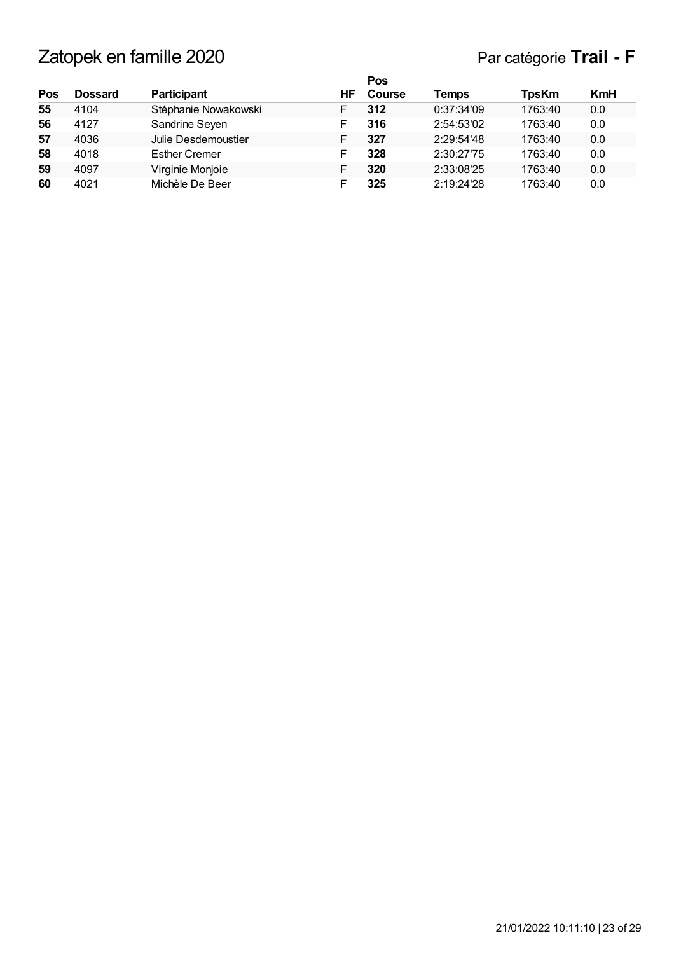|     |                |                      |    | Pos    |            |              |     |
|-----|----------------|----------------------|----|--------|------------|--------------|-----|
| Pos | <b>Dossard</b> | <b>Participant</b>   | ΗF | Course | Temps      | <b>TpsKm</b> | KmH |
| 55  | 4104           | Stéphanie Nowakowski | F  | 312    | 0:37:34'09 | 1763:40      | 0.0 |
| 56  | 4127           | Sandrine Seyen       |    | 316    | 2:54:53'02 | 1763:40      | 0.0 |
| 57  | 4036           | Julie Desdemoustier  | F  | 327    | 2:29:54'48 | 1763:40      | 0.0 |
| 58  | 4018           | <b>Esther Cremer</b> | F  | 328    | 2:30:27'75 | 1763:40      | 0.0 |
| 59  | 4097           | Virginie Monjoie     | F  | 320    | 2:33:08'25 | 1763:40      | 0.0 |
| 60  | 4021           | Michèle De Beer      |    | 325    | 2:19:24'28 | 1763:40      | 0.0 |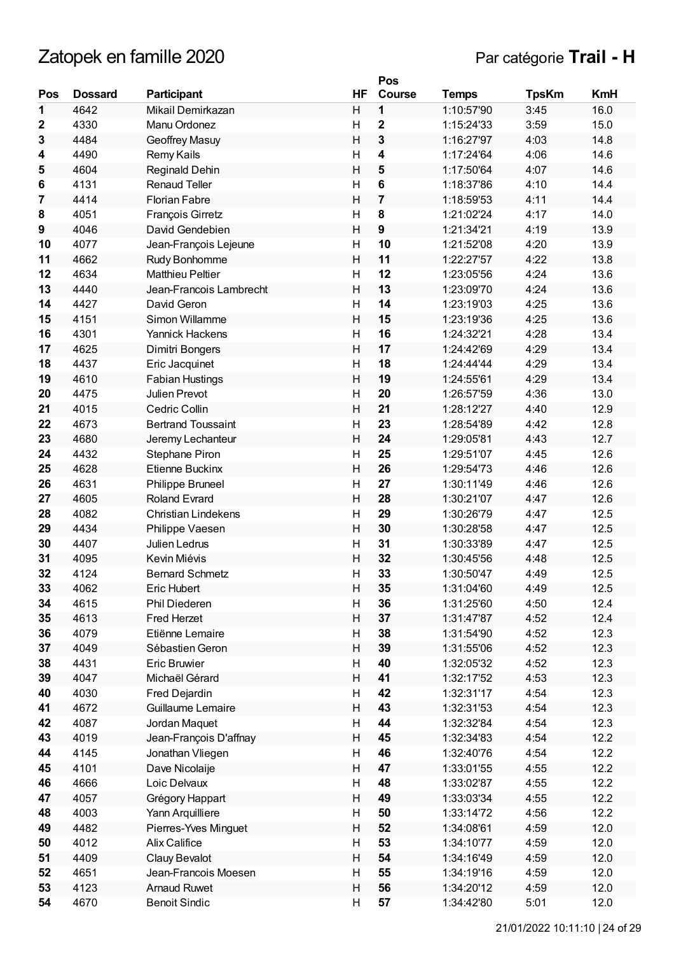# Zatopek en famille 2020 **Par catégorie Trail - H**

|                 |                |                            |                         | Pos                     |              |              |            |
|-----------------|----------------|----------------------------|-------------------------|-------------------------|--------------|--------------|------------|
| Pos             | <b>Dossard</b> | Participant                | HF                      | <b>Course</b>           | <b>Temps</b> | <b>TpsKm</b> | <b>KmH</b> |
| 1               | 4642           | Mikail Demirkazan          | Н                       | 1                       | 1:10:57'90   | 3:45         | 16.0       |
| 2               | 4330           | Manu Ordonez               | H                       | $\overline{\mathbf{2}}$ | 1:15:24'33   | 3:59         | 15.0       |
| 3               | 4484           | Geoffrey Masuy             | H                       | 3                       | 1:16:27'97   | 4:03         | 14.8       |
| 4               | 4490           | Remy Kails                 | $\mathsf{H}$            | 4                       | 1:17:24'64   | 4:06         | 14.6       |
| 5               | 4604           | <b>Reginald Dehin</b>      | H                       | 5                       | 1:17:50'64   | 4:07         | 14.6       |
| $6\phantom{1}6$ | 4131           | <b>Renaud Teller</b>       | Η                       | 6                       | 1:18:37'86   | 4:10         | 14.4       |
| 7               | 4414           | <b>Florian Fabre</b>       | H                       | 7                       | 1:18:59'53   | 4:11         | 14.4       |
| 8               | 4051           | <b>François Girretz</b>    | $\overline{\mathsf{H}}$ | 8                       | 1:21:02'24   | 4:17         | 14.0       |
| 9               | 4046           | David Gendebien            | H                       | 9                       | 1:21:34'21   | 4:19         | 13.9       |
| 10              | 4077           | Jean-François Lejeune      | Η                       | 10                      | 1:21:52'08   | 4:20         | 13.9       |
| 11              | 4662           | Rudy Bonhomme              | H                       | 11                      | 1:22:27'57   | 4:22         | 13.8       |
| 12              | 4634           | <b>Matthieu Peltier</b>    | H                       | 12                      | 1:23:05'56   | 4:24         | 13.6       |
| 13              | 4440           | Jean-Francois Lambrecht    | H                       | 13                      | 1:23:09'70   | 4:24         | 13.6       |
| 14              | 4427           | David Geron                | Η                       | 14                      | 1:23:19'03   | 4:25         | 13.6       |
| 15              | 4151           | Simon Willamme             | H                       | 15                      | 1:23:19'36   | 4:25         | 13.6       |
| 16              | 4301           | Yannick Hackens            | Η                       | 16                      | 1:24:32'21   | 4:28         | 13.4       |
| 17              | 4625           | Dimitri Bongers            | H                       | 17                      | 1:24:42'69   | 4:29         | 13.4       |
| 18              | 4437           | Eric Jacquinet             | $\overline{\mathsf{H}}$ | 18                      | 1:24:44'44   | 4:29         | 13.4       |
| 19              | 4610           | <b>Fabian Hustings</b>     | H                       | 19                      | 1:24:55'61   | 4:29         | 13.4       |
| 20              | 4475           | Julien Prevot              | н                       | 20                      | 1:26:57'59   | 4:36         | 13.0       |
| 21              | 4015           | Cedric Collin              | H                       | 21                      | 1:28:12'27   | 4:40         | 12.9       |
| 22              | 4673           | <b>Bertrand Toussaint</b>  | H                       | 23                      | 1:28:54'89   | 4:42         | 12.8       |
| 23              | 4680           | Jeremy Lechanteur          | H                       | 24                      | 1:29:05'81   | 4:43         | 12.7       |
| 24              | 4432           | Stephane Piron             | Η                       | 25                      | 1:29:51'07   | 4:45         | 12.6       |
| 25              | 4628           | Etienne Buckinx            | H                       | 26                      | 1:29:54'73   | 4:46         | 12.6       |
| 26              | 4631           | Philippe Bruneel           | Η                       | 27                      | 1:30:11'49   | 4:46         | 12.6       |
| 27              | 4605           | <b>Roland Evrard</b>       | H                       | 28                      | 1:30:21'07   | 4:47         | 12.6       |
| 28              | 4082           | <b>Christian Lindekens</b> | $\overline{\mathsf{H}}$ | 29                      | 1:30:26'79   | 4:47         | 12.5       |
| 29              | 4434           | Philippe Vaesen            | H                       | 30                      | 1:30:28'58   | 4:47         | 12.5       |
| 30              | 4407           | Julien Ledrus              | н                       | 31                      | 1:30:33'89   | 4:47         | 12.5       |
| 31              | 4095           | Kevin Miévis               | H                       | 32                      | 1:30:45'56   | 4:48         | 12.5       |
| 32              | 4124           | <b>Bernard Schmetz</b>     | H                       | 33                      | 1:30:50'47   | 4:49         | 12.5       |
| 33              | 4062           | Eric Hubert                | Н                       | 35                      | 1:31:04'60   | 4:49         | 12.5       |
| 34              | 4615           | Phil Diederen              | н                       | 36                      | 1:31:25'60   | 4:50         | 12.4       |
| 35              | 4613           | <b>Fred Herzet</b>         | Н                       | 37                      | 1:31:47'87   | 4:52         | 12.4       |
| 36              | 4079           | Etiënne Lemaire            | H                       | 38                      | 1:31:54'90   | 4:52         | 12.3       |
| 37              | 4049           | Sébastien Geron            | H                       | 39                      | 1:31:55'06   | 4:52         | 12.3       |
| 38              | 4431           | <b>Eric Bruwier</b>        | Н                       | 40                      | 1:32:05'32   | 4:52         | 12.3       |
| 39              | 4047           | Michaël Gérard             | Н                       | 41                      | 1:32:17'52   | 4:53         | 12.3       |
| 40              | 4030           | Fred Dejardin              | Н                       | 42                      | 1:32:31'17   | 4:54         | 12.3       |
| 41              | 4672           | Guillaume Lemaire          | Н                       | 43                      | 1:32:31'53   | 4:54         | 12.3       |
| 42              | 4087           | Jordan Maquet              | H                       | 44                      | 1:32:32'84   | 4:54         | 12.3       |
| 43              | 4019           | Jean-François D'affnay     | Н                       | 45                      | 1:32:34'83   | 4:54         | 12.2       |
| 44              | 4145           | Jonathan Vliegen           | H                       | 46                      | 1:32:40'76   | 4:54         | 12.2       |
| 45              | 4101           | Dave Nicolaije             | H                       | 47                      | 1:33:01'55   | 4:55         | 12.2       |
| 46              | 4666           | Loic Delvaux               | H                       | 48                      | 1:33:02'87   | 4:55         | 12.2       |
| 47              | 4057           | Grégory Happart            | H                       | 49                      | 1:33:03'34   | 4:55         | 12.2       |
| 48              | 4003           | Yann Arquilliere           | Н                       | 50                      | 1:33:14'72   | 4:56         | 12.2       |
| 49              | 4482           | Pierres-Yves Minguet       | Н                       | 52                      | 1:34:08'61   | 4:59         | 12.0       |
| 50              | 4012           | Alix Califice              | Н                       | 53                      | 1:34:10'77   | 4:59         | 12.0       |
| 51              | 4409           | Clauy Bevalot              | Н                       | 54                      | 1:34:16'49   | 4:59         | 12.0       |
| 52              | 4651           | Jean-Francois Moesen       | Η                       | 55                      | 1:34:19'16   | 4:59         | 12.0       |
| 53              | 4123           | <b>Arnaud Ruwet</b>        | Н                       | 56                      | 1:34:20'12   | 4:59         | 12.0       |
| 54              | 4670           | <b>Benoit Sindic</b>       | Η                       | 57                      | 1:34:42'80   | 5:01         | 12.0       |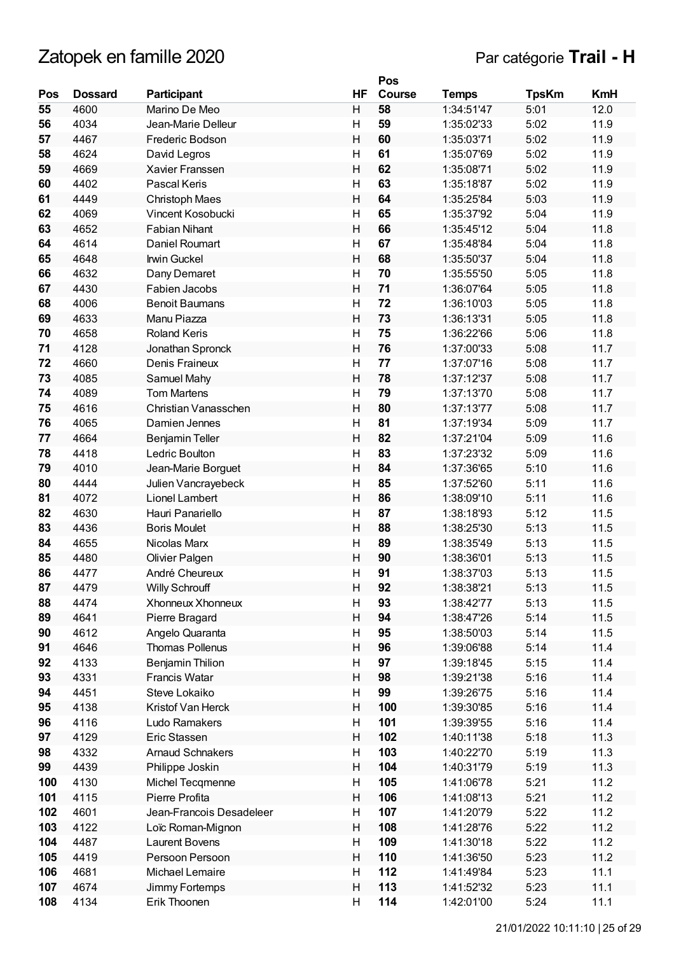|     |                |                          |              | Pos    |              |              |            |
|-----|----------------|--------------------------|--------------|--------|--------------|--------------|------------|
| Pos | <b>Dossard</b> | Participant              | HF           | Course | <b>Temps</b> | <b>TpsKm</b> | <b>KmH</b> |
| 55  | 4600           | Marino De Meo            | H            | 58     | 1:34:51'47   | 5:01         | 12.0       |
| 56  | 4034           | Jean-Marie Delleur       | Н            | 59     | 1:35:02'33   | 5:02         | 11.9       |
| 57  | 4467           | Frederic Bodson          | H            | 60     | 1:35:03'71   | 5:02         | 11.9       |
| 58  | 4624           | David Legros             | Η            | 61     | 1:35:07'69   | 5:02         | 11.9       |
| 59  | 4669           | Xavier Franssen          | $\mathsf{H}$ | 62     | 1:35:08'71   | 5:02         | 11.9       |
| 60  | 4402           | Pascal Keris             | Η            | 63     | 1:35:18'87   | 5:02         | 11.9       |
| 61  | 4449           | Christoph Maes           | H            | 64     | 1:35:25'84   | 5:03         | 11.9       |
| 62  | 4069           | Vincent Kosobucki        | H            | 65     | 1:35:37'92   | 5:04         | 11.9       |
| 63  | 4652           | <b>Fabian Nihant</b>     | $\mathsf{H}$ | 66     | 1:35:45'12   | 5:04         | 11.8       |
| 64  | 4614           | Daniel Roumart           | H            | 67     | 1:35:48'84   | 5:04         | 11.8       |
| 65  | 4648           | <b>Irwin Guckel</b>      | H            | 68     | 1:35:50'37   | 5:04         | 11.8       |
| 66  | 4632           | Dany Demaret             | Η            | 70     | 1:35:55'50   | 5:05         | 11.8       |
| 67  | 4430           | Fabien Jacobs            | H            | 71     | 1:36:07'64   | 5:05         | 11.8       |
| 68  | 4006           | <b>Benoit Baumans</b>    | $\mathsf{H}$ | 72     | 1:36:10'03   | 5:05         | 11.8       |
| 69  | 4633           | Manu Piazza              | $\mathsf{H}$ | 73     | 1:36:13'31   | 5:05         | 11.8       |
| 70  | 4658           | <b>Roland Keris</b>      | Η            | 75     | 1:36:22'66   | 5:06         | 11.8       |
| 71  | 4128           | Jonathan Spronck         | H            | 76     | 1:37:00'33   | 5:08         | 11.7       |
| 72  | 4660           | Denis Fraineux           | $\mathsf{H}$ | 77     | 1:37:07'16   | 5:08         | 11.7       |
| 73  | 4085           | Samuel Mahy              | $\mathsf{H}$ | 78     | 1:37:12'37   | 5:08         | 11.7       |
| 74  | 4089           | <b>Tom Martens</b>       | Η            | 79     | 1:37:13'70   | 5:08         | 11.7       |
| 75  | 4616           | Christian Vanasschen     | H            | 80     | 1:37:13'77   | 5:08         | 11.7       |
| 76  | 4065           | Damien Jennes            | Η            | 81     | 1:37:19'34   | 5:09         | 11.7       |
| 77  | 4664           | <b>Benjamin Teller</b>   | H            | 82     | 1:37:21'04   | 5:09         | 11.6       |
| 78  | 4418           | Ledric Boulton           | $\mathsf{H}$ | 83     | 1:37:23'32   | 5:09         | 11.6       |
| 79  | 4010           | Jean-Marie Borguet       | H            | 84     | 1:37:36'65   | 5:10         | 11.6       |
| 80  | 4444           | Julien Vancrayebeck      | H            | 85     | 1:37:52'60   | 5:11         | 11.6       |
| 81  | 4072           | Lionel Lambert           | H            | 86     | 1:38:09'10   | 5:11         | 11.6       |
| 82  | 4630           | Hauri Panariello         | Η            | 87     | 1:38:18'93   | 5:12         | 11.5       |
| 83  | 4436           | <b>Boris Moulet</b>      | H            | 88     | 1:38:25'30   | 5:13         | 11.5       |
| 84  | 4655           | Nicolas Marx             | $\mathsf{H}$ | 89     | 1:38:35'49   | 5:13         | 11.5       |
| 85  | 4480           | Olivier Palgen           | H            | 90     | 1:38:36'01   | 5:13         | 11.5       |
| 86  | 4477           | André Cheureux           | $\mathsf{H}$ | 91     | 1:38:37'03   | 5:13         | 11.5       |
| 87  | 4479           | <b>Willy Schrouff</b>    | Н            | 92     | 1:38:38'21   | 5:13         | 11.5       |
| 88  | 4474           | Xhonneux Xhonneux        | H            | 93     | 1:38:42'77   | 5:13         | 11.5       |
| 89  | 4641           | Pierre Bragard           | Н            | 94     | 1:38:47'26   | 5:14         | 11.5       |
| 90  | 4612           | Angelo Quaranta          | H            | 95     | 1:38:50'03   | 5:14         | 11.5       |
| 91  | 4646           | <b>Thomas Pollenus</b>   | H            | 96     | 1:39:06'88   | 5:14         | 11.4       |
| 92  | 4133           | <b>Benjamin Thilion</b>  | H            | 97     | 1:39:18'45   | 5:15         | 11.4       |
| 93  | 4331           | Francis Watar            | Н            | 98     | 1:39:21'38   | 5:16         | 11.4       |
| 94  | 4451           | Steve Lokaiko            | Н            | 99     | 1:39:26'75   | 5:16         | 11.4       |
| 95  | 4138           | Kristof Van Herck        | Н            | 100    | 1:39:30'85   | 5:16         | 11.4       |
| 96  | 4116           | Ludo Ramakers            | Н            | 101    | 1:39:39'55   | 5:16         | 11.4       |
| 97  | 4129           | Eric Stassen             | H            | 102    | 1:40:11'38   | 5:18         | 11.3       |
| 98  | 4332           | <b>Arnaud Schnakers</b>  | Н            | 103    | 1:40:22'70   | 5:19         | 11.3       |
| 99  | 4439           | Philippe Joskin          | H            | 104    | 1:40:31'79   | 5:19         | 11.3       |
| 100 | 4130           | Michel Tecqmenne         | H            | 105    | 1:41:06'78   | 5:21         | 11.2       |
| 101 | 4115           | Pierre Profita           | H            | 106    | 1:41:08'13   | 5:21         | 11.2       |
| 102 | 4601           | Jean-Francois Desadeleer | Н            | 107    | 1:41:20'79   | 5:22         | 11.2       |
| 103 | 4122           | Loïc Roman-Mignon        | Н            | 108    | 1:41:28'76   | 5:22         | 11.2       |
| 104 | 4487           | Laurent Bovens           | H            | 109    | 1:41:30'18   | 5:22         | 11.2       |
| 105 | 4419           | Persoon Persoon          | Н            | 110    | 1:41:36'50   | 5:23         | 11.2       |
| 106 | 4681           | Michael Lemaire          | H            | 112    | 1:41:49'84   | 5:23         | 11.1       |
| 107 | 4674           | Jimmy Fortemps           | $\sf H$      | 113    | 1:41:52'32   | 5:23         | 11.1       |
| 108 | 4134           | Erik Thoonen             | Н            | 114    | 1:42:01'00   | 5:24         | 11.1       |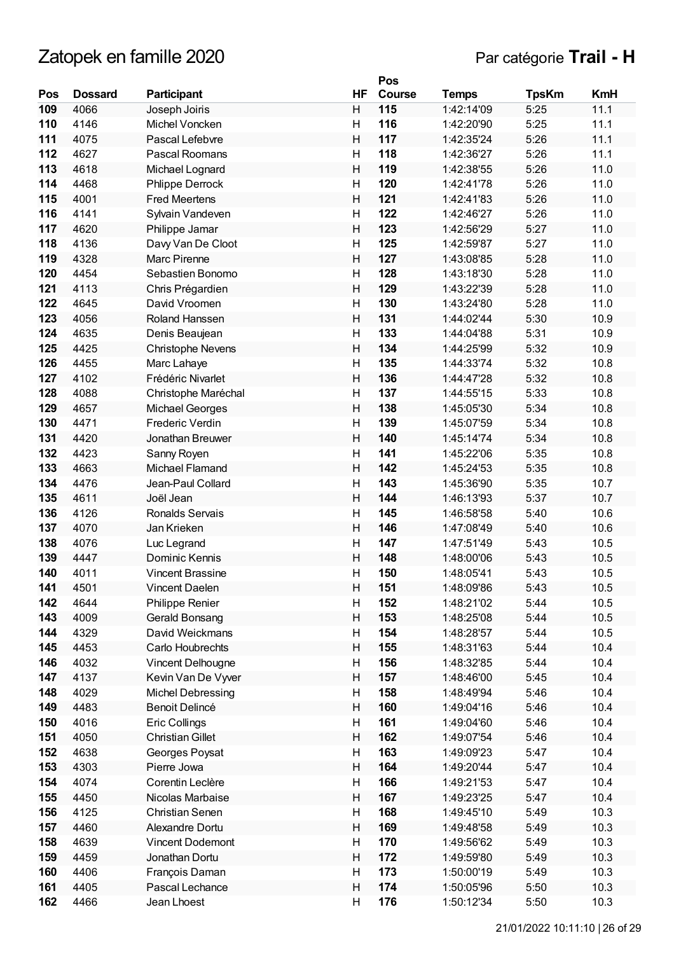|     |                |                         |    | Pos    |              |              |            |
|-----|----------------|-------------------------|----|--------|--------------|--------------|------------|
| Pos | <b>Dossard</b> | Participant             | HF | Course | <b>Temps</b> | <b>TpsKm</b> | <b>KmH</b> |
| 109 | 4066           | Joseph Joiris           | Н  | 115    | 1:42:14'09   | 5:25         | 11.1       |
| 110 | 4146           | Michel Voncken          | H  | 116    | 1:42:20'90   | 5:25         | 11.1       |
| 111 | 4075           | Pascal Lefebvre         | H  | 117    | 1:42:35'24   | 5:26         | 11.1       |
| 112 | 4627           | Pascal Roomans          | Η  | 118    | 1:42:36'27   | 5:26         | 11.1       |
| 113 | 4618           | Michael Lognard         | H  | 119    | 1:42:38'55   | 5:26         | 11.0       |
| 114 | 4468           | Phlippe Derrock         | Η  | 120    | 1:42:41'78   | 5:26         | 11.0       |
| 115 | 4001           | <b>Fred Meertens</b>    | H  | 121    | 1:42:41'83   | 5:26         | 11.0       |
| 116 | 4141           | Sylvain Vandeven        | H  | 122    | 1:42:46'27   | 5:26         | 11.0       |
| 117 | 4620           | Philippe Jamar          | H  | 123    | 1:42:56'29   | 5:27         | 11.0       |
| 118 | 4136           | Davy Van De Cloot       | H  | 125    | 1:42:59'87   | 5:27         | 11.0       |
| 119 | 4328           | Marc Pirenne            | H  | 127    | 1:43:08'85   | 5:28         | 11.0       |
| 120 | 4454           | Sebastien Bonomo        | H  | 128    | 1:43:18'30   | 5:28         | 11.0       |
| 121 | 4113           | Chris Prégardien        | H  | 129    | 1:43:22'39   | 5:28         | 11.0       |
| 122 | 4645           | David Vroomen           | Η  | 130    | 1:43:24'80   | 5:28         | 11.0       |
| 123 | 4056           | Roland Hanssen          | H  | 131    | 1:44:02'44   | 5:30         | 10.9       |
| 124 | 4635           | Denis Beaujean          | Η  | 133    | 1:44:04'88   | 5:31         | 10.9       |
| 125 | 4425           | Christophe Nevens       | H  | 134    | 1:44:25'99   | 5:32         | 10.9       |
| 126 | 4455           | Marc Lahaye             | Η  | 135    | 1:44:33'74   | 5:32         | 10.8       |
| 127 | 4102           | Frédéric Nivarlet       | H  | 136    | 1:44:47'28   | 5:32         | 10.8       |
| 128 | 4088           | Christophe Maréchal     | Η  | 137    | 1:44:55'15   | 5:33         | 10.8       |
| 129 | 4657           | Michael Georges         | H  | 138    | 1:45:05'30   | 5:34         | 10.8       |
| 130 | 4471           | Frederic Verdin         | H  | 139    | 1:45:07'59   | 5:34         | 10.8       |
| 131 | 4420           | Jonathan Breuwer        | H  | 140    | 1:45:14'74   | 5:34         | 10.8       |
| 132 | 4423           | Sanny Royen             | Η  | 141    | 1:45:22'06   | 5:35         | 10.8       |
| 133 | 4663           | Michael Flamand         | H  | 142    | 1:45:24'53   | 5:35         | 10.8       |
| 134 | 4476           | Jean-Paul Collard       | Η  | 143    | 1:45:36'90   | 5:35         | 10.7       |
| 135 | 4611           | Joël Jean               | H  | 144    | 1:46:13'93   | 5:37         | 10.7       |
| 136 | 4126           | Ronalds Servais         | Η  | 145    | 1:46:58'58   | 5:40         | 10.6       |
| 137 | 4070           | Jan Krieken             | H  | 146    | 1:47:08'49   | 5:40         | 10.6       |
| 138 | 4076           | Luc Legrand             | Η  | 147    | 1:47:51'49   | 5:43         | 10.5       |
| 139 | 4447           | Dominic Kennis          | H  | 148    | 1:48:00'06   | 5:43         | 10.5       |
| 140 | 4011           | <b>Vincent Brassine</b> | Η  | 150    | 1:48:05'41   | 5:43         | 10.5       |
| 141 | 4501           | Vincent Daelen          | Н  | 151    | 1:48:09'86   | 5:43         | 10.5       |
| 142 | 4644           | Philippe Renier         | Н  | 152    | 1:48:21'02   | 5:44         | 10.5       |
| 143 | 4009           | Gerald Bonsang          | Н  | 153    | 1:48:25'08   | 5:44         | 10.5       |
| 144 | 4329           | David Weickmans         | H  | 154    | 1:48:28'57   | 5:44         | 10.5       |
| 145 | 4453           | Carlo Houbrechts        | H  | 155    | 1:48:31'63   | 5:44         | 10.4       |
| 146 | 4032           | Vincent Delhougne       | Н  | 156    | 1:48:32'85   | 5:44         | 10.4       |
| 147 | 4137           | Kevin Van De Vyver      | Н  | 157    | 1:48:46'00   | 5:45         | 10.4       |
| 148 | 4029           | Michel Debressing       | H  | 158    | 1:48:49'94   | 5:46         | 10.4       |
| 149 | 4483           | Benoit Delincé          | Н  | 160    | 1:49:04'16   | 5:46         | 10.4       |
| 150 | 4016           | Eric Collings           | Н  | 161    | 1:49:04'60   | 5:46         | 10.4       |
| 151 | 4050           | <b>Christian Gillet</b> | H  | 162    | 1:49:07'54   | 5:46         | 10.4       |
| 152 | 4638           | Georges Poysat          | Н  | 163    | 1:49:09'23   | 5:47         | 10.4       |
| 153 | 4303           | Pierre Jowa             | Н  | 164    | 1:49:20'44   | 5:47         | 10.4       |
| 154 | 4074           | Corentin Leclère        | H  | 166    | 1:49:21'53   | 5:47         | 10.4       |
| 155 | 4450           | Nicolas Marbaise        | H  | 167    | 1:49:23'25   | 5:47         | 10.4       |
| 156 | 4125           | <b>Christian Senen</b>  | Н  | 168    | 1:49:45'10   | 5:49         | 10.3       |
| 157 | 4460           | Alexandre Dortu         | Н  | 169    | 1:49:48'58   | 5:49         | 10.3       |
| 158 | 4639           | Vincent Dodemont        | Н  | 170    | 1:49:56'62   | 5:49         | 10.3       |
| 159 | 4459           | Jonathan Dortu          | Н  | 172    | 1:49:59'80   | 5:49         | 10.3       |
| 160 | 4406           | François Daman          | Н  | 173    | 1:50:00'19   | 5:49         | 10.3       |
| 161 | 4405           | Pascal Lechance         | Н  | 174    | 1:50:05'96   | 5:50         | 10.3       |
| 162 | 4466           | Jean Lhoest             | Н  | 176    | 1:50:12'34   | 5:50         | 10.3       |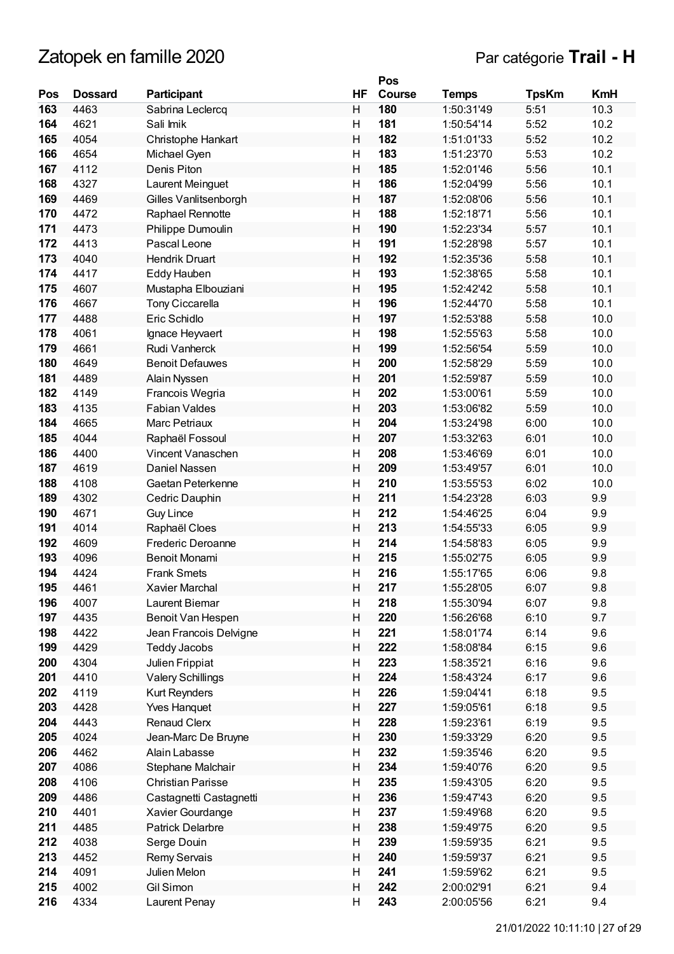|     |                |                          |                         | Pos    |              |              |            |
|-----|----------------|--------------------------|-------------------------|--------|--------------|--------------|------------|
| Pos | <b>Dossard</b> | <b>Participant</b>       | <b>HF</b>               | Course | <b>Temps</b> | <b>TpsKm</b> | <b>KmH</b> |
| 163 | 4463           | Sabrina Leclercq         | H                       | 180    | 1:50:31'49   | 5:51         | 10.3       |
| 164 | 4621           | Sali Imik                | H                       | 181    | 1:50:54'14   | 5:52         | 10.2       |
| 165 | 4054           | Christophe Hankart       | H                       | 182    | 1:51:01'33   | 5:52         | 10.2       |
| 166 | 4654           | Michael Gyen             | H                       | 183    | 1:51:23'70   | 5:53         | 10.2       |
| 167 | 4112           | Denis Piton              | H                       | 185    | 1:52:01'46   | 5:56         | 10.1       |
| 168 | 4327           | Laurent Meinguet         | $\mathsf{H}$            | 186    | 1:52:04'99   | 5:56         | 10.1       |
| 169 | 4469           | Gilles Vanlitsenborgh    | H                       | 187    | 1:52:08'06   | 5:56         | 10.1       |
| 170 | 4472           | Raphael Rennotte         | Η                       | 188    | 1:52:18'71   | 5:56         | 10.1       |
| 171 | 4473           |                          | H                       | 190    | 1:52:23'34   | 5:57         | 10.1       |
| 172 |                | Philippe Dumoulin        |                         |        |              |              |            |
|     | 4413           | Pascal Leone             | $\overline{\mathsf{H}}$ | 191    | 1:52:28'98   | 5:57         | 10.1       |
| 173 | 4040           | Hendrik Druart           | H                       | 192    | 1:52:35'36   | 5:58         | 10.1       |
| 174 | 4417           | Eddy Hauben              | H                       | 193    | 1:52:38'65   | 5:58         | 10.1       |
| 175 | 4607           | Mustapha Elbouziani      | H                       | 195    | 1:52:42'42   | 5:58         | 10.1       |
| 176 | 4667           | <b>Tony Ciccarella</b>   | H                       | 196    | 1:52:44'70   | 5:58         | 10.1       |
| 177 | 4488           | Eric Schidlo             | H                       | 197    | 1:52:53'88   | 5:58         | 10.0       |
| 178 | 4061           | Ignace Heyvaert          | $\mathsf{H}$            | 198    | 1:52:55'63   | 5:58         | 10.0       |
| 179 | 4661           | Rudi Vanherck            | H                       | 199    | 1:52:56'54   | 5:59         | 10.0       |
| 180 | 4649           | <b>Benoit Defauwes</b>   | Η                       | 200    | 1:52:58'29   | 5:59         | 10.0       |
| 181 | 4489           | Alain Nyssen             | H                       | 201    | 1:52:59'87   | 5:59         | 10.0       |
| 182 | 4149           | Francois Wegria          | $\overline{\mathsf{H}}$ | 202    | 1:53:00'61   | 5:59         | 10.0       |
| 183 | 4135           | <b>Fabian Valdes</b>     | H                       | 203    | 1:53:06'82   | 5:59         | 10.0       |
| 184 | 4665           | Marc Petriaux            | H                       | 204    | 1:53:24'98   | 6:00         | 10.0       |
| 185 | 4044           | Raphaël Fossoul          | H                       | 207    | 1:53:32'63   | 6:01         | 10.0       |
| 186 | 4400           | Vincent Vanaschen        | Η                       | 208    | 1:53:46'69   | 6:01         | 10.0       |
| 187 | 4619           | Daniel Nassen            | H                       | 209    | 1:53:49'57   | 6:01         | 10.0       |
| 188 | 4108           | Gaetan Peterkenne        | $\mathsf{H}$            | 210    | 1:53:55'53   | 6:02         | 10.0       |
| 189 | 4302           | Cedric Dauphin           | H                       | 211    | 1:54:23'28   | 6:03         | 9.9        |
| 190 | 4671           | <b>Guy Lince</b>         | Η                       | 212    | 1:54:46'25   | 6:04         | 9.9        |
| 191 | 4014           | Raphaël Cloes            | H                       | 213    | 1:54:55'33   | 6:05         | 9.9        |
| 192 | 4609           | <b>Frederic Deroanne</b> | $\mathsf{H}$            | 214    | 1:54:58'83   | 6:05         | 9.9        |
| 193 | 4096           | <b>Benoit Monami</b>     | $\mathsf{H}$            | 215    | 1:55:02'75   | 6:05         | 9.9        |
| 194 | 4424           | <b>Frank Smets</b>       | Η                       | 216    | 1:55:17'65   | 6:06         | 9.8        |
|     |                |                          |                         |        |              |              |            |
| 195 | 4461           | Xavier Marchal           | Н                       | 217    | 1:55:28'05   | 6:07         | 9.8        |
| 196 | 4007           | <b>Laurent Biemar</b>    | н                       | 218    | 1:55:30'94   | 6:07         | 9.8        |
| 197 | 4435           | Benoit Van Hespen        | Н                       | 220    | 1:56:26'68   | 6:10         | 9.7        |
| 198 | 4422           | Jean Francois Delvigne   | н                       | 221    | 1:58:01'74   | 6:14         | 9.6        |
| 199 | 4429           | <b>Teddy Jacobs</b>      | Н                       | 222    | 1:58:08'84   | 6:15         | 9.6        |
| 200 | 4304           | Julien Frippiat          | H                       | 223    | 1:58:35'21   | 6:16         | 9.6        |
| 201 | 4410           | <b>Valery Schillings</b> | H                       | 224    | 1:58:43'24   | 6:17         | 9.6        |
| 202 | 4119           | Kurt Reynders            | Н                       | 226    | 1:59:04'41   | 6:18         | 9.5        |
| 203 | 4428           | <b>Yves Hanquet</b>      | Н                       | 227    | 1:59:05'61   | 6:18         | 9.5        |
| 204 | 4443           | <b>Renaud Clerx</b>      | Н                       | 228    | 1:59:23'61   | 6:19         | 9.5        |
| 205 | 4024           | Jean-Marc De Bruyne      | Н                       | 230    | 1:59:33'29   | 6:20         | 9.5        |
| 206 | 4462           | Alain Labasse            | Н                       | 232    | 1:59:35'46   | 6:20         | 9.5        |
| 207 | 4086           | Stephane Malchair        | Н                       | 234    | 1:59:40'76   | 6:20         | 9.5        |
| 208 | 4106           | Christian Parisse        | н                       | 235    | 1:59:43'05   | 6:20         | 9.5        |
| 209 | 4486           | Castagnetti Castagnetti  | Н                       | 236    | 1:59:47'43   | 6:20         | 9.5        |
| 210 | 4401           | Xavier Gourdange         | Н                       | 237    | 1:59:49'68   | 6:20         | 9.5        |
| 211 | 4485           | <b>Patrick Delarbre</b>  | H                       | 238    | 1:59:49'75   | 6:20         | 9.5        |
| 212 | 4038           | Serge Douin              | Н                       | 239    | 1:59:59'35   | 6:21         | 9.5        |
| 213 | 4452           | Remy Servais             | Н                       | 240    | 1:59:59'37   | 6:21         | 9.5        |
| 214 | 4091           | Julien Melon             | Н                       | 241    | 1:59:59'62   | 6:21         | 9.5        |
| 215 | 4002           | <b>Gil Simon</b>         | Н                       | 242    | 2:00:02'91   | 6:21         | 9.4        |
| 216 | 4334           | Laurent Penay            | Н                       | 243    | 2:00:05'56   | 6:21         | 9.4        |
|     |                |                          |                         |        |              |              |            |